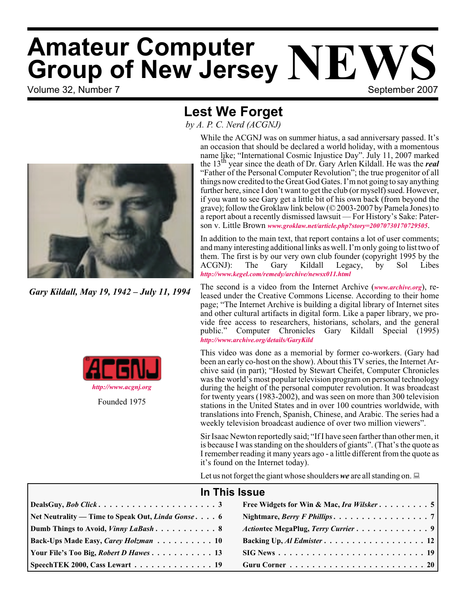## Volume 32, Number 7 September 2007 **Amateur Computer Group of New Jersey NEV**

## **Lest We Forget**

*by A. P. C. Nerd (ACGNJ)*



*Gary Kildall, May 19, 1942 – July 11, 1994*



While the ACGNJ was on summer hiatus, a sad anniversary passed. It's an occasion that should be declared a world holiday, with a momentous name like; "International Cosmic Injustice Day". July 11, 2007 marked the 13th year since the death of Dr. Gary Arlen Kildall. He was the *real* "Father of the Personal Computer Revolution"; the true progenitor of all things now credited to the Great God Gates. I'm not going to say anything further here, since I don't want to get the club (or myself) sued. However, if you want to see Gary get a little bit of his own back (from beyond the grave); follow the Groklaw link below (© 2003-2007 by Pamela Jones) to a report about a recently dismissed lawsuit — For History's Sake: Paterson v. Little Brown *[www.groklaw.net/article.php?story=20070730170729505](http://www.groklaw.net/article.php?story=20070730170729505)*.

In addition to the main text, that report contains a lot of user comments; and many interesting additional links as well. I'm only going to list two of them. The first is by our very own club founder (copyright 1995 by the ACGNJ): The Gary Kildall Legacy, by Sol Libes *<http://www.kegel.com/remedy/archive/newsx011.html>*

The second is a video from the Internet Archive (*[www.archive.org](http://www.archive.org)*), released under the Creative Commons License. According to their home page; "The Internet Archive is building a digital library of Internet sites and other cultural artifacts in digital form. Like a paper library, we provide free access to researchers, historians, scholars, and the general public." Computer Chronicles Gary Kildall Special (1995) *<http://www.archive.org/details/GaryKild>*

This video was done as a memorial by former co-workers. (Gary had been an early co-host on the show). About this TV series, the Internet Archive said (in part); "Hosted by Stewart Cheifet, Computer Chronicles was the world's most popular television program on personal technology during the height of the personal computer revolution. It was broadcast for twenty years (1983-2002), and was seen on more than 300 television stations in the United States and in over 100 countries worldwide, with translations into French, Spanish, Chinese, and Arabic. The series had a weekly television broadcast audience of over two million viewers".

Sir Isaac Newton reportedly said; "If I have seen farther than other men, it is because I was standing on the shoulders of giants". (That's the quote as I remember reading it many years ago - a little different from the quote as it's found on the Internet today).

Let us not forget the giant whose shoulders we are all standing on.  $\Box$ 

| In This Issue                                            |                                                                                          |  |  |  |
|----------------------------------------------------------|------------------------------------------------------------------------------------------|--|--|--|
|                                                          |                                                                                          |  |  |  |
| Net Neutrality — Time to Speak Out, <i>Linda Gonse</i> 6 |                                                                                          |  |  |  |
| Dumb Things to Avoid, <i>Vinny LaBash</i> 8              | Actiontec MegaPlug, Terry Currier 9                                                      |  |  |  |
| Back-Ups Made Easy, Carey Holzman 10                     |                                                                                          |  |  |  |
| Your File's Too Big, Robert D Hawes 13                   | $SIG News \dots \dots \dots \dots \dots \dots \dots \dots \dots \dots \dots \dots \dots$ |  |  |  |
| SpeechTEK 2000, Cass Lewart 19                           |                                                                                          |  |  |  |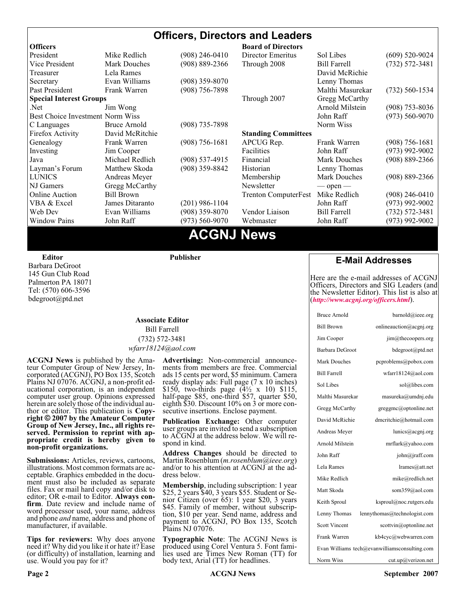#### **Officers, Directors and Leaders Officers Board of Directors**<br> **President Director Mike Redlich** (908) 246-0410 Director Emeritus (908) 246-0410 Director Emeritus Sol Libes (609) 520-9024 Vice President Mark Douches (908) 889-2366 Through 2008 Bill Farrell (732) 572-3481 Treasurer Lela Rames **David McRichie** David McRichie Secretary Evan Williams (908) 359-8070 Lenny Thomas Past President Frank Warren (908) 756-7898 Malthi Masurekar (732) 560-1534 **Special Interest Groups** Through 2007 Gregg McCarthy Net Jim Wong 31 Jim Wong 2008) 353-8036 Best Choice Investment Norm Wiss<br>
C Languages Bruce Arnold (908) 735-7898 (908) 700 Morm Wiss (973) 560-9070 C Languages Bruce Arnold (908) 735-7898<br>Firefox Activity David McRitchie Firefox Activity David McRitchie **Standing Committees** Genealogy Frank Warren (908) 756-1681 APCUG Rep. Frank Warren (908) 756-1681 Investing Jim Cooper Facilities Facilities John Raff (973) 992-9002<br>Java Michael Redlich (908) 537-4915 Financial Mark Douches (908) 889-2366 Java Michael Redlich (908) 537-4915 Financial Mark Douches (908) 889-2366 Layman's Forum Matthew Skoda (908) 359-8842 Historian Lenny Thomas LUNICS Andreas Meyer Membership Mark Douches (908) 889-2366 NJ Gamers Gregg McCarthy Newsletter — open — open — Online Auction Bill Brown Trenton ComputerFest Mike Redlich (908) 246-0410 VBA & Excel James Ditaranto (201) 986-1104 John Raff (973) 992-9002 Web Dev Evan Williams (908) 359-8070 Vendor Liaison Bill Farrell (732) 572-3481 Window Pains John Raff (973) 560-9070 Webmaster John Raff (973) 992-9002

### **ACGNJ News**

**Editor**

Barbara DeGroot 145 Gun Club Road Palmerton PA 18071 Tel: (570) 606-3596 bdegroot@ptd.net

**Publisher**

#### **Associate Editor** Bill Farrell (732) 572-3481 *wfarr18124@aol.com*

**ACGNJ News** is published by the Ama- teur Computer Group of New Jersey, In- corporated (ACGNJ), PO Box 135, Scotch Plains NJ 07076. ACGNJ, a non-profit ed-<br>ucational corporation, is an independent computer user group. Opinions expressed<br>herein are solely those of the individual author or editor. This publication is **Copy-**<br>right © 2007 by the Amateur Computer<br>Group of New Jersey, Inc., all rights re-**Group of New Jersey, Inc., all rights re- served. Permission to reprint with ap- propriate credit is hereby given to non-profit organizations.**

**Submissions:** Articles, reviews, cartoons, illustrations. Most common formats are acceptable. Graphics embedded in the docu-<br>ment must also be included as separate files. Fax or mail hard copy and/or disk to editor: OR e-mail to Editor. **Always con**firm. Date review and include name of word processor used, your name, address and phone *and* name, address and phone of manufacturer, if available.

**Tips for reviewers:** Why does anyone need it? Why did you like it or hate it? Ease (or difficulty) of installation, learning and use. Would you pay for it?

**Advertising:** Non-commercial announce- ments from members are free. Commercial ads 15 cents per word, \$5 minimum. Camera ready display ads: Full page (7 x 10 inches) \$150, two-thirds page (4½ x 10) \$115, half-page \$85, one-third \$57, quarter \$50, eighth \$30. Discount 10% on 3 or more con- secutive insertions. Enclose payment.

**Publication Exchange:** Other computer user groups are invited to send a subscription to ACGNJ at the address below. We will re- spond in kind.

**Address Changes** should be directed to Martin Rosenblum (*m.rosenblum@ieee.org*) and/or to his attention at ACGNJ at the ad- dress below.

**Membership**, including subscription: 1 year \$25, 2 years \$40, 3 years \$55. Student or Senior Citizen (over 65): 1 year \$20, 3 years \$45. Family of member, without subscription, \$10 per year. Send name, address and payment to ACGNJ, PO Box 135, Scotch Plains NJ 07076.

**Typographic Note**: The ACGNJ News is produced using Corel Ventura 5. Font fami- lies used are Times New Roman (TT) for body text, Arial (TT) for headlines.

### **E-Mail Addresses**

Here are the e-mail addresses of ACGNJ Officers, Directors and SIG Leaders (and the Newsletter Editor). This list is also at (*<http://www.acgnj.org/officers.html>*).

| <b>Bruce Arnold</b>  | barnold@ieee.org                              |
|----------------------|-----------------------------------------------|
| <b>Bill Brown</b>    | onlineauction@acgnj.org                       |
| Jim Cooper           | jim@thecoopers.org                            |
| Barbara DeGroot      | bdegroot@ptd.net                              |
| Mark Douches         | pcproblems@pobox.com                          |
| <b>Bill Farrell</b>  | wfarr18124@aol.com                            |
| Sol Libes            | sol@libes.com                                 |
| Malthi Masurekar     | masureka@umdnj.edu                            |
| Gregg McCarthy       | greggmc@optonline.net                         |
| David McRichie       | dmcritchie@hotmail.com                        |
| Andreas Meyer        | lunics@acgnj.org                              |
| Arnold Milstein      | mrflark@yahoo.com                             |
| John Raff            | john@jraff.com                                |
| Lela Rames           | lrames@att.net                                |
| Mike Redlich         | mike@redlich.net                              |
| Matt Skoda           | som359@aol.com                                |
| Keith Sproul         | ksproul@noc.rutgers.edu                       |
| Lenny Thomas         | lennythomas@technologist.com                  |
| <b>Scott Vincent</b> | scottvin@optonline.net                        |
| Frank Warren         | kb4cyc@webwarren.com                          |
|                      | Evan Williams tech@evanwilliamsconsulting.com |
| Norm Wiss            | cut.up@verizon.net                            |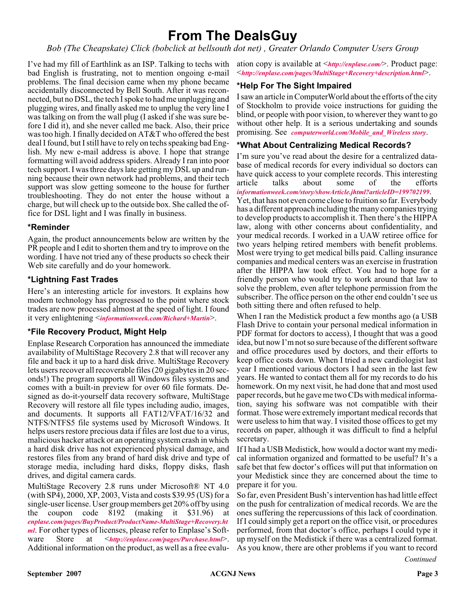## **From The DealsGuy**

*Bob (The Cheapskate) Click (bobclick at bellsouth dot net) , Greater Orlando Computer Users Group*

I've had my fill of Earthlink as an ISP. Talking to techs with bad English is frustrating, not to mention ongoing e-mail problems. The final decision came when my phone became accidentally disconnected by Bell South. After it was reconnected, but no DSL, the tech I spoke to had me unplugging and plugging wires, and finally asked me to unplug the very line I was talking on from the wall plug (I asked if she was sure before I did it), and she never called me back. Also, their price was too high. I finally decided on AT&T who offered the best deal I found, but I still have to rely on techs speaking bad English. My new e-mail address is above. I hope that strange formatting will avoid address spiders. Already I ran into poor tech support. I was three days late getting my DSL up and running because their own network had problems, and their tech support was slow getting someone to the house for further troubleshooting. They do not enter the house without a charge, but will check up to the outside box. She called the office for DSL light and I was finally in business.

#### **\*Reminder**

Again, the product announcements below are written by the PR people and I edit to shorten them and try to improve on the wording. I have not tried any of these products so check their Web site carefully and do your homework.

#### **\*Lightning Fast Trades**

Here's an interesting article for investors. It explains how modern technology has progressed to the point where stock trades are now processed almost at the speed of light. I found it very enlightening <*[informationweek.com/Richard+Martin](http://www.informationweek.com/showArticle.jhtml)*>.

#### **\*File Recovery Product, Might Help**

Enplase Research Corporation has announced the immediate availability of MultiStage Recovery 2.8 that will recover any file and back it up to a hard disk drive. MultiStage Recovery lets users recover all recoverable files (20 gigabytes in 20 seconds!) The program supports all Windows files systems and comes with a built-in preview for over 60 file formats. Designed as do-it-yourself data recovery software, MultiStage Recovery will restore all file types including audio, images, and documents. It supports all FAT12/VFAT/16/32 and NTFS/NTFS5 file systems used by Microsoft Windows. It helps users restore precious data if files are lost due to a virus, malicious hacker attack or an operating system crash in which a hard disk drive has not experienced physical damage, and restores files from any brand of hard disk drive and type of storage media, including hard disks, floppy disks, flash drives, and digital camera cards.

MultiStage Recovery 2.8 runs under Microsoft® NT 4.0 (with SP4), 2000, XP, 2003, Vista and costs \$39.95 (US) for a single-user license. User group members get 20% off by using the coupon code 8192 (making it \$31.96) at *[enplase.com/pages/BuyProduct/ProductName-MultiStage+Recovery.ht](http://enplase.com/pages/BuyProduct/ProductName-MultiStage+Recovery.html) ml*. For other types of licenses, please refer to Enplase's Software Store at <*<http://enplase.com/pages/Purchase.html>*>. Additional information on the product, as well as a free evalu-

ation copy is available at <*<http://enplase.com/>*>. Product page: <*<http://enplase.com/pages/MultiStage+Recovery+description.html>*>.

#### **\*Help For The Sight Impaired**

I saw an article in ComputerWorld about the efforts of the city of Stockholm to provide voice instructions for guiding the blind, or people with poor vision, to wherever they want to go without other help. It is a serious undertaking and sounds promising. See *[computerworld.com/Mobile\\_and\\_Wireless story](http://www.computerworld.com/action/article.do?command=viewArticleBasic&taxonomyName=Mobile_and_Wireless&articleId=291724&taxonomyId=15&intsrc=kc_li_story)*.

#### **\*What About Centralizing Medical Records?**

I'm sure you've read about the desire for a centralized database of medical records for every individual so doctors can have quick access to your complete records. This interesting article talks about some of the efforts *[informationweek.com/story/showArticle.jhtml?articleID=199702199](http://www.informationweek.com/story/showArticle.jhtml?articleID=199702199)*.

Yet, that has not even come close to fruition so far. Everybody has a different approach including the many companies trying to develop products to accomplish it. Then there's the HIPPA law, along with other concerns about confidentiality, and your medical records. I worked in a UAW retiree office for two years helping retired members with benefit problems. Most were trying to get medical bills paid. Calling insurance companies and medical centers was an exercise in frustration after the HIPPA law took effect. You had to hope for a friendly person who would try to work around that law to solve the problem, even after telephone permission from the subscriber. The office person on the other end couldn't see us both sitting there and often refused to help.

When I ran the Medistick product a few months ago (a USB Flash Drive to contain your personal medical information in PDF format for doctors to access), I thought that was a good idea, but now I'm not so sure because of the different software and office procedures used by doctors, and their efforts to keep office costs down. When I tried a new cardiologist last year I mentioned various doctors I had seen in the last few years. He wanted to contact them all for my records to do his homework. On my next visit, he had done that and most used paper records, but he gave me two CDs with medical information, saying his software was not compatible with their format. Those were extremely important medical records that were useless to him that way. I visited those offices to get my records on paper, although it was difficult to find a helpful secretary.

If I had a USB Medistick, how would a doctor want my medical information organized and formatted to be useful? It's a safe bet that few doctor's offices will put that information on your Medistick since they are concerned about the time to prepare it for you.

So far, even President Bush's intervention has had little effect on the push for centralization of medical records. We are the ones suffering the repercussions of this lack of coordination. If I could simply get a report on the office visit, or procedures performed, from that doctor's office, perhaps I could type it up myself on the Medistick if there was a centralized format. As you know, there are other problems if you want to record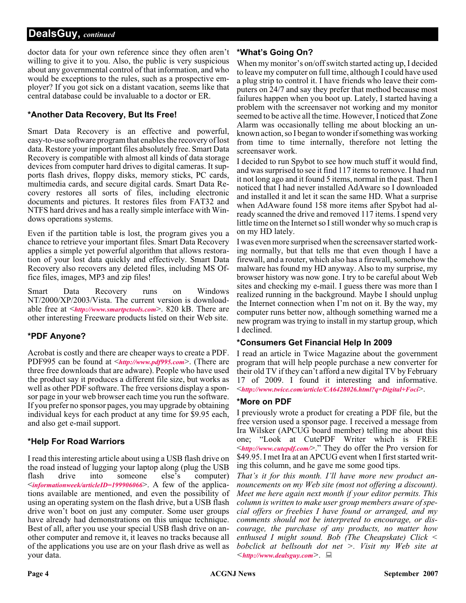#### **DealsGuy,** *continued*

doctor data for your own reference since they often aren't willing to give it to you. Also, the public is very suspicious about any governmental control of that information, and who would be exceptions to the rules, such as a prospective employer? If you got sick on a distant vacation, seems like that central database could be invaluable to a doctor or ER.

#### **\*Another Data Recovery, But Its Free!**

Smart Data Recovery is an effective and powerful, easy-to-use software program that enables the recovery of lost data. Restore your important files absolutely free. Smart Data Recovery is compatible with almost all kinds of data storage devices from computer hard drives to digital cameras. It supports flash drives, floppy disks, memory sticks, PC cards, multimedia cards, and secure digital cards. Smart Data Recovery restores all sorts of files, including electronic documents and pictures. It restores files from FAT32 and NTFS hard drives and has a really simple interface with Windows operations systems.

Even if the partition table is lost, the program gives you a chance to retrieve your important files. Smart Data Recovery applies a simple yet powerful algorithm that allows restoration of your lost data quickly and effectively. Smart Data Recovery also recovers any deleted files, including MS Office files, images, MP3 and zip files!

Smart Data Recovery runs on Windows NT/2000/XP/2003/Vista. The current version is downloadable free at <*<http://www.smartpctools.com>*>. 820 kB. There are other interesting Freeware products listed on their Web site.

#### **\*PDF Anyone?**

Acrobat is costly and there are cheaper ways to create a PDF. PDF995 can be found at <*<http://www.pdf995.com>*>. (There are three free downloads that are adware). People who have used the product say it produces a different file size, but works as well as other PDF software. The free versions display a sponsor page in your web browser each time you run the software. If you prefer no sponsor pages, you may upgrade by obtaining individual keys for each product at any time for \$9.95 each, and also get e-mail support.

### **\*Help For Road Warriors**

I read this interesting article about using a USB flash drive on the road instead of lugging your laptop along (plug the USB flash drive into someone else's computer) <*[informationweek/articleID=199906066](http://www.informationweek.com/hardware/showArticle.jhtml?articleID=199906066)*>. A few of the applications available are mentioned, and even the possibility of using an operating system on the flash drive, but a USB flash drive won't boot on just any computer. Some user groups have already had demonstrations on this unique technique. Best of all, after you use your special USB flash drive on another computer and remove it, it leaves no tracks because all of the applications you use are on your flash drive as well as your data.

### **\*What's Going On?**

When my monitor's on/off switch started acting up, I decided to leave my computer on full time, although I could have used a plug strip to control it. I have friends who leave their computers on 24/7 and say they prefer that method because most failures happen when you boot up. Lately, I started having a problem with the screensaver not working and my monitor seemed to be active all the time. However, I noticed that Zone Alarm was occasionally telling me about blocking an unknown action, so I began to wonder if something was working from time to time internally, therefore not letting the screensaver work.

I decided to run Spybot to see how much stuff it would find, and was surprised to see it find 117 items to remove. I had run it not long ago and it found 5 items, normal in the past. Then I noticed that I had never installed AdAware so I downloaded and installed it and let it scan the same HD. What a surprise when AdAware found 158 more items after Spybot had already scanned the drive and removed 117 items. I spend very little time on the Internet so I still wonder why so much crap is on my HD lately.

I was even more surprised when the screensaver started working normally, but that tells me that even though I have a firewall, and a router, which also has a firewall, somehow the malware has found my HD anyway. Also to my surprise, my browser history was now gone. I try to be careful about Web sites and checking my e-mail. I guess there was more than I realized running in the background. Maybe I should unplug the Internet connection when I'm not on it. By the way, my computer runs better now, although something warned me a new program was trying to install in my startup group, which I declined.

#### **\*Consumers Get Financial Help In 2009**

I read an article in Twice Magazine about the government program that will help people purchase a new converter for their old TV if they can't afford a new digital TV by February 17 of 2009. I found it interesting and informative. <*<http://www.twice.com/article/CA6428026.html?q=Digital+Foci>*>.

#### **\*More on PDF**

I previously wrote a product for creating a PDF file, but the free version used a sponsor page. I received a message from Ira Wilsker (APCUG board member) telling me about this one; "Look at CutePDF Writer which is FREE <*<http://www.cutepdf.com/>*>." They do offer the Pro version for \$49.95. I met Ira at an APCUG event when I first started writing this column, and he gave me some good tips.

*That's it for this month. I'll have more new product announcements on my Web site (most not offering a discount). Meet me here again next month if your editor permits. This column is written to make user group members aware of special offers or freebies I have found or arranged, and my comments should not be interpreted to encourage, or discourage, the purchase of any products, no matter how enthused I might sound. Bob (The Cheapskate) Click < bobclick at bellsouth dot net >. Visit my Web site at <<http://www.dealsguy.com>>.*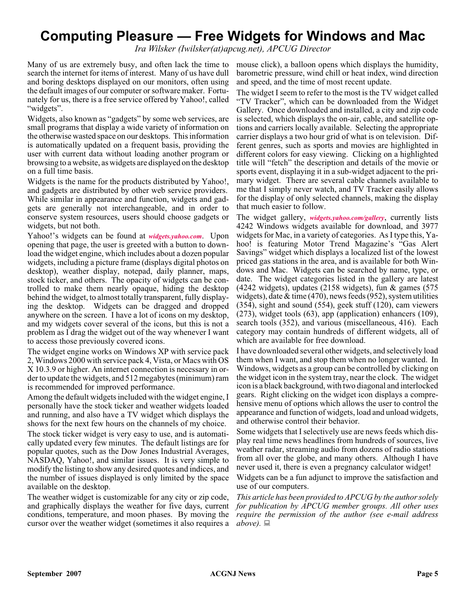## **Computing Pleasure — Free Widgets for Windows and Mac**

*Ira Wilsker (Iwilsker(at)apcug.net), APCUG Director*

Many of us are extremely busy, and often lack the time to search the internet for items of interest. Many of us have dull and boring desktops displayed on our monitors, often using the default images of our computer or software maker. Fortunately for us, there is a free service offered by Yahoo!, called "widgets".

Widgets, also known as "gadgets" by some web services, are small programs that display a wide variety of information on the otherwise wasted space on our desktops. This information is automatically updated on a frequent basis, providing the user with current data without loading another program or browsing to a website, as widgets are displayed on the desktop on a full time basis.

Widgets is the name for the products distributed by Yahoo!, and gadgets are distributed by other web service providers. While similar in appearance and function, widgets and gadgets are generally not interchangeable, and in order to conserve system resources, users should choose gadgets or widgets, but not both.

Yahoo!'s widgets can be found at *[widgets.yahoo.com](http://widgets.yahoo.com)*. Upon opening that page, the user is greeted with a button to download the widget engine, which includes about a dozen popular widgets, including a picture frame (displays digital photos on desktop), weather display, notepad, daily planner, maps, stock ticker, and others. The opacity of widgets can be controlled to make them nearly opaque, hiding the desktop behind the widget, to almost totally transparent, fully displaying the desktop. Widgets can be dragged and dropped anywhere on the screen. I have a lot of icons on my desktop, and my widgets cover several of the icons, but this is not a problem as I drag the widget out of the way whenever I want to access those previously covered icons.

The widget engine works on Windows XP with service pack 2, Windows 2000 with service pack 4, Vista, or Macs with OS X 10.3.9 or higher. An internet connection is necessary in order to update the widgets, and 512 megabytes (minimum) ram is recommended for improved performance.

Among the default widgets included with the widget engine, I personally have the stock ticker and weather widgets loaded and running, and also have a TV widget which displays the shows for the next few hours on the channels of my choice.

The stock ticker widget is very easy to use, and is automatically updated every few minutes. The default listings are for popular quotes, such as the Dow Jones Industrial Averages, NASDAQ, Yahoo!, and similar issues. It is very simple to modify the listing to show any desired quotes and indices, and the number of issues displayed is only limited by the space available on the desktop.

The weather widget is customizable for any city or zip code, and graphically displays the weather for five days, current conditions, temperature, and moon phases. By moving the cursor over the weather widget (sometimes it also requires a  $above$ ).

mouse click), a balloon opens which displays the humidity, barometric pressure, wind chill or heat index, wind direction and speed, and the time of most recent update.

The widget I seem to refer to the most is the TV widget called "TV Tracker", which can be downloaded from the Widget Gallery. Once downloaded and installed, a city and zip code is selected, which displays the on-air, cable, and satellite options and carriers locally available. Selecting the appropriate carrier displays a two hour grid of what is on television. Different genres, such as sports and movies are highlighted in different colors for easy viewing. Clicking on a highlighted title will "fetch" the description and details of the movie or sports event, displaying it in a sub-widget adjacent to the primary widget. There are several cable channels available to me that I simply never watch, and TV Tracker easily allows for the display of only selected channels, making the display that much easier to follow.

The widget gallery, *[widgets.yahoo.com/gallery](http://widgets.yahoo.com/gallery)*, currently lists 4242 Windows widgets available for download, and 3977 widgets for Mac, in a variety of categories. As I type this, Yahoo! is featuring Motor Trend Magazine's "Gas Alert Savings" widget which displays a localized list of the lowest priced gas stations in the area, and is available for both Windows and Mac. Widgets can be searched by name, type, or date. The widget categories listed in the gallery are latest (4242 widgets), updates (2158 widgets), fun & games (575 widgets), date & time (470), news feeds (952), system utilities (354), sight and sound (554), geek stuff (120), cam viewers (273), widget tools (63), app (application) enhancers (109), search tools (352), and various (miscellaneous, 416). Each category may contain hundreds of different widgets, all of which are available for free download.

I have downloaded several other widgets, and selectively load them when I want, and stop them when no longer wanted. In Windows, widgets as a group can be controlled by clicking on the widget icon in the system tray, near the clock. The widget icon is a black background, with two diagonal and interlocked gears. Right clicking on the widget icon displays a comprehensive menu of options which allows the user to control the appearance and function of widgets, load and unload widgets, and otherwise control their behavior.

Some widgets that I selectively use are news feeds which display real time news headlines from hundreds of sources, live weather radar, streaming audio from dozens of radio stations from all over the globe, and many others. Although I have never used it, there is even a pregnancy calculator widget!

Widgets can be a fun adjunct to improve the satisfaction and use of our computers.

*This article has been provided to APCUG by the author solely for publication by APCUG member groups. All other uses require the permission of the author (see e-mail address*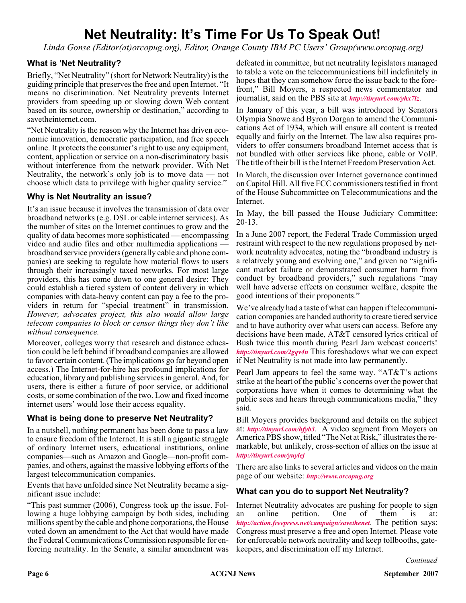## **Net Neutrality: It's Time For Us To Speak Out!**

*Linda Gonse (Editor(at)orcopug.org), Editor, Orange County IBM PC Users' Group(www.orcopug.org)*

#### **What is 'Net Neutrality?**

Briefly, "Net Neutrality" (short for Network Neutrality) is the guiding principle that preserves the free and open Internet. "It means no discrimination. Net Neutrality prevents Internet providers from speeding up or slowing down Web content based on its source, ownership or destination," according to savetheinternet.com.

"Net Neutrality is the reason why the Internet has driven economic innovation, democratic participation, and free speech online. It protects the consumer's right to use any equipment, content, application or service on a non-discriminatory basis without interference from the network provider. With Net Neutrality, the network's only job is to move data — not choose which data to privilege with higher quality service."

#### **Why is Net Neutrality an issue?**

It's an issue because it involves the transmission of data over broadband networks (e.g. DSL or cable internet services). As the number of sites on the Internet continues to grow and the quality of data becomes more sophisticated — encompassing video and audio files and other multimedia applications broadband service providers (generally cable and phone companies) are seeking to regulate how material flows to users through their increasingly taxed networks. For most large providers, this has come down to one general desire: They could establish a tiered system of content delivery in which companies with data-heavy content can pay a fee to the providers in return for "special treatment" in transmission. *However, advocates project, this also would allow large telecom companies to block or censor things they don't like without consequence.*

Moreover, colleges worry that research and distance education could be left behind if broadband companies are allowed to favor certain content. (The implications go far beyond open access.) The Internet-for-hire has profound implications for education, library and publishing services in general. And, for users, there is either a future of poor service, or additional costs, or some combination of the two. Low and fixed income internet users' would lose their access equality.

#### **What is being done to preserve Net Neutrality?**

In a nutshell, nothing permanent has been done to pass a law to ensure freedom of the Internet. It is still a gigantic struggle of ordinary Internet users, educational institutions, online companies—such as Amazon and Google—non-profit companies, and others, against the massive lobbying efforts of the largest telecommunication companies.

Events that have unfolded since Net Neutrality became a significant issue include:

"This past summer (2006), Congress took up the issue. Following a huge lobbying campaign by both sides, including millions spent by the cable and phone corporations, the House voted down an amendment to the Act that would have made the Federal Communications Commission responsible for enforcing neutrality. In the Senate, a similar amendment was

defeated in committee, but net neutrality legislators managed to table a vote on the telecommunications bill indefinitely in hopes that they can somehow force the issue back to the forefront," Bill Moyers, a respected news commentator and journalist, said on the PBS site at *<http://tinyurl.com/yhx7lz>*.

In January of this year, a bill was introduced by Senators Olympia Snowe and Byron Dorgan to amend the Communications Act of 1934, which will ensure all content is treated equally and fairly on the Internet. The law also requires providers to offer consumers broadband Internet access that is not bundled with other services like phone, cable or VoIP. The title of their bill is the Internet Freedom Preservation Act.

In March, the discussion over Internet governance continued on Capitol Hill. All five FCC commissioners testified in front of the House Subcommittee on Telecommunications and the Internet.

In May, the bill passed the House Judiciary Committee: 20-13.

In a June 2007 report, the Federal Trade Commission urged restraint with respect to the new regulations proposed by network neutrality advocates, noting the "broadband industry is a relatively young and evolving one," and given no "significant market failure or demonstrated consumer harm from conduct by broadband providers," such regulations "may well have adverse effects on consumer welfare, despite the good intentions of their proponents."

We've already had a taste of what can happen if telecommunication companies are handed authority to create tiered service and to have authority over what users can access. Before any decisions have been made, AT&T censored lyrics critical of Bush twice this month during Pearl Jam webcast concerts! *<http://tinyurl.com/2gqv4n>* This foreshadows what we can expect if Net Neutrality is not made into law permanently.

Pearl Jam appears to feel the same way. "AT&T's actions strike at the heart of the public's concerns over the power that corporations have when it comes to determining what the public sees and hears through communications media," they said.

Bill Moyers provides background and details on the subject at: *<http://tinyurl.com/hfyb3>*. A video segment from Moyers on America PBS show, titled "The Net at Risk," illustrates the remarkable, but unlikely, cross-section of allies on the issue at *<http://tinyurl.com/yuylej>*

There are also links to several articles and videos on the main page of our website: *<http://www.orcopug.org>*

#### **What can you do to support Net Neutrality?**

Internet Neutrality advocates are pushing for people to sign an online petition. One of them is at: *<http://action.freepress.net/campaign/savethenet>*. The petition says: Congress must preserve a free and open Internet. Please vote for enforceable network neutrality and keep tollbooths, gatekeepers, and discrimination off my Internet.

*Continued*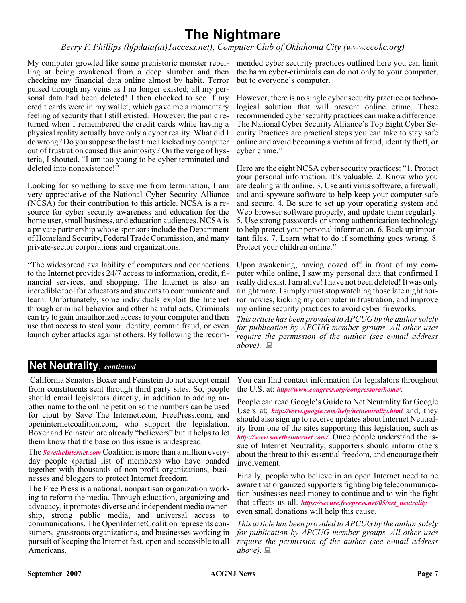## **The Nightmare**

#### *Berry F. Phillips (bfpdata(at)1access.net), Computer Club of Oklahoma City (www.ccokc.org)*

My computer growled like some prehistoric monster rebel-mended cyber security practices outlined here you can limit ling at being awakened from a deep slumber and then checking my financial data online almost by habit. Terror pulsed through my veins as I no longer existed; all my personal data had been deleted! I then checked to see if my credit cards were in my wallet, which gave me a momentary feeling of security that I still existed. However, the panic returned when I remembered the credit cards while having a physical reality actually have only a cyber reality. What did I do wrong? Do you suppose the last time I kicked my computer out of frustration caused this animosity? On the verge of hysteria, I shouted, "I am too young to be cyber terminated and deleted into nonexistence!"

Looking for something to save me from termination, I am very appreciative of the National Cyber Security Alliance (NCSA) for their contribution to this article. NCSA is a resource for cyber security awareness and education for the home user, small business, and education audiences. NCSA is a private partnership whose sponsors include the Department of Homeland Security, Federal Trade Commission, and many private-sector corporations and organizations.

"The widespread availability of computers and connections to the Internet provides 24/7 access to information, credit, financial services, and shopping. The Internet is also an incredible tool for educators and students to communicate and learn. Unfortunately, some individuals exploit the Internet through criminal behavior and other harmful acts. Criminals can try to gain unauthorized access to your computer and then use that access to steal your identity, commit fraud, or even launch cyber attacks against others. By following the recom-

the harm cyber-criminals can do not only to your computer, but to everyone's computer.

However, there is no single cyber security practice or technological solution that will prevent online crime. These recommended cyber security practices can make a difference. The National Cyber Security Alliance's Top Eight Cyber Security Practices are practical steps you can take to stay safe online and avoid becoming a victim of fraud, identity theft, or cyber crime."

Here are the eight NCSA cyber security practices: "1. Protect your personal information. It's valuable. 2. Know who you are dealing with online. 3. Use anti virus software, a firewall, and anti-spyware software to help keep your computer safe and secure. 4. Be sure to set up your operating system and Web browser software properly, and update them regularly. 5. Use strong passwords or strong authentication technology to help protect your personal information. 6. Back up important files. 7. Learn what to do if something goes wrong. 8. Protect your children online."

Upon awakening, having dozed off in front of my computer while online, I saw my personal data that confirmed I really did exist. I am alive! I have not been deleted! It was only a nightmare. I simply must stop watching those late night horror movies, kicking my computer in frustration, and improve my online security practices to avoid cyber fireworks.

*This article has been provided to APCUG by the author solely for publication by APCUG member groups. All other uses require the permission of the author (see e-mail address above).*

### **Net Neutrality**, *continued*

California Senators Boxer and Feinstein do not accept email from constituents sent through third party sites. So, people should email legislators directly, in addition to adding another name to the online petition so the numbers can be used for clout by Save The Internet.com, FreePress.com, and openinternetcoalition.com, who support the legislation. Boxer and Feinstein are already "believers" but it helps to let them know that the base on this issue is widespread.

The *[SavetheInternet.com](http://)* Coalition is more than a million everyday people (partial list of members) who have banded together with thousands of non-profit organizations, businesses and bloggers to protect Internet freedom.

The Free Press is a national, nonpartisan organization working to reform the media. Through education, organizing and advocacy, it promotes diverse and independent media ownership, strong public media, and universal access to communications. The OpenInternetCoalition represents consumers, grassroots organizations, and businesses working in pursuit of keeping the Internet fast, open and accessible to all Americans.

You can find contact information for legislators throughout the U.S. at: *<http://www.congress.org/congressorg/home/>*.

People can read Google's Guide to Net Neutrality for Google Users at: *<http://www.google.com/help/netneutrality.html>* and, they should also sign up to receive updates about Internet Neutrality from one of the sites supporting this legislation, such as *<http://www.savetheinternet.com/>*. Once people understand the issue of Internet Neutrality, supporters should inform others about the threat to this essential freedom, and encourage their involvement.

Finally, people who believe in an open Internet need to be aware that organized supporters fighting big telecommunication businesses need money to continue and to win the fight that affects us all. *https://secure.freepress.net/05/net neutrality* even small donations will help this cause.

*This article has been provided to APCUG by the author solely for publication by APCUG member groups. All other uses require the permission of the author (see e-mail address*  $above. \equiv$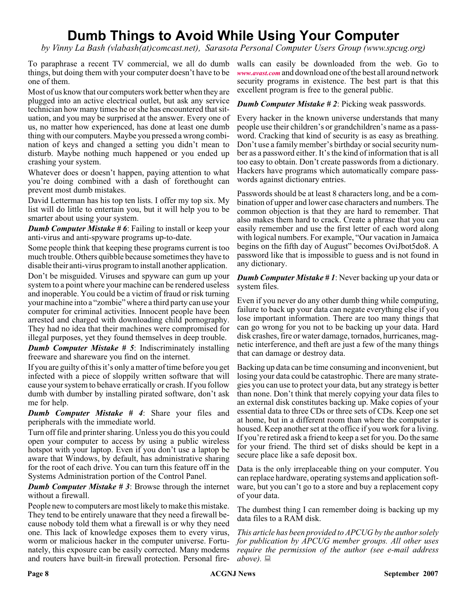## **Dumb Things to Avoid While Using Your Computer**

*by Vinny La Bash (vlabash(at)comcast.net), Sarasota Personal Computer Users Group (www.spcug.org)*

To paraphrase a recent TV commercial, we all do dumb things, but doing them with your computer doesn't have to be one of them.

Most of us know that our computers work better when they are plugged into an active electrical outlet, but ask any service technician how many times he or she has encountered that situation, and you may be surprised at the answer. Every one of us, no matter how experienced, has done at least one dumb thing with our computers. Maybe you pressed a wrong combination of keys and changed a setting you didn't mean to disturb. Maybe nothing much happened or you ended up crashing your system.

Whatever does or doesn't happen, paying attention to what you're doing combined with a dash of forethought can prevent most dumb mistakes.

David Letterman has his top ten lists. I offer my top six. My list will do little to entertain you, but it will help you to be smarter about using your system.

*Dumb Computer Mistake # 6*: Failing to install or keep your anti-virus and anti-spyware programs up-to-date.

Some people think that keeping these programs current is too much trouble. Others quibble because sometimes they have to disable their anti-virus program to install another application.

Don't be misguided. Viruses and spyware can gum up your system to a point where your machine can be rendered useless and inoperable. You could be a victim of fraud or risk turning your machine into a "zombie" where a third party can use your computer for criminal activities. Innocent people have been arrested and charged with downloading child pornography. They had no idea that their machines were compromised for illegal purposes, yet they found themselves in deep trouble.

*Dumb Computer Mistake # 5*: Indiscriminately installing freeware and shareware you find on the internet.

If you are guilty of this it's only a matter of time before you get infected with a piece of sloppily written software that will cause your system to behave erratically or crash. If you follow dumb with dumber by installing pirated software, don't ask me for help.

*Dumb Computer Mistake # 4*: Share your files and peripherals with the immediate world.

Turn off file and printer sharing. Unless you do this you could open your computer to access by using a public wireless hotspot with your laptop. Even if you don't use a laptop be aware that Windows, by default, has administrative sharing for the root of each drive. You can turn this feature off in the Systems Administration portion of the Control Panel.

*Dumb Computer Mistake # 3*: Browse through the internet without a firewall.

People new to computers are most likely to make this mistake. They tend to be entirely unaware that they need a firewall because nobody told them what a firewall is or why they need one. This lack of knowledge exposes them to every virus, worm or malicious hacker in the computer universe. Fortunately, this exposure can be easily corrected. Many modems and routers have built-in firewall protection. Personal fire-

walls can easily be downloaded from the web. Go to *[www.avast.com](http://www.avast.com)* and download one of the best all around network security programs in existence. The best part is that this excellent program is free to the general public.

*Dumb Computer Mistake # 2*: Picking weak passwords.

Every hacker in the known universe understands that many people use their children's or grandchildren's name as a password. Cracking that kind of security is as easy as breathing. Don't use a family member's birthday or social security number as a password either. It's the kind of information that is all too easy to obtain. Don't create passwords from a dictionary. Hackers have programs which automatically compare passwords against dictionary entries.

Passwords should be at least 8 characters long, and be a combination of upper and lower case characters and numbers. The common objection is that they are hard to remember. That also makes them hard to crack. Create a phrase that you can easily remember and use the first letter of each word along with logical numbers. For example, "Our vacation in Jamaica begins on the fifth day of August" becomes OviJbot5do8. A password like that is impossible to guess and is not found in any dictionary.

#### *Dumb Computer Mistake # 1*: Never backing up your data or system files.

Even if you never do any other dumb thing while computing, failure to back up your data can negate everything else if you lose important information. There are too many things that can go wrong for you not to be backing up your data. Hard disk crashes, fire or water damage, tornados, hurricanes, magnetic interference, and theft are just a few of the many things that can damage or destroy data.

Backing up data can be time consuming and inconvenient, but losing your data could be catastrophic. There are many strategies you can use to protect your data, but any strategy is better than none. Don't think that merely copying your data files to an external disk constitutes backing up. Make copies of your essential data to three CDs or three sets of CDs. Keep one set at home, but in a different room than where the computer is housed. Keep another set at the office if you work for a living. If you're retired ask a friend to keep a set for you. Do the same for your friend. The third set of disks should be kept in a secure place like a safe deposit box.

Data is the only irreplaceable thing on your computer. You can replace hardware, operating systems and application software, but you can't go to a store and buy a replacement copy of your data.

The dumbest thing I can remember doing is backing up my data files to a RAM disk.

*This article has been provided to APCUG by the author solely for publication by APCUG member groups. All other uses require the permission of the author (see e-mail address above).*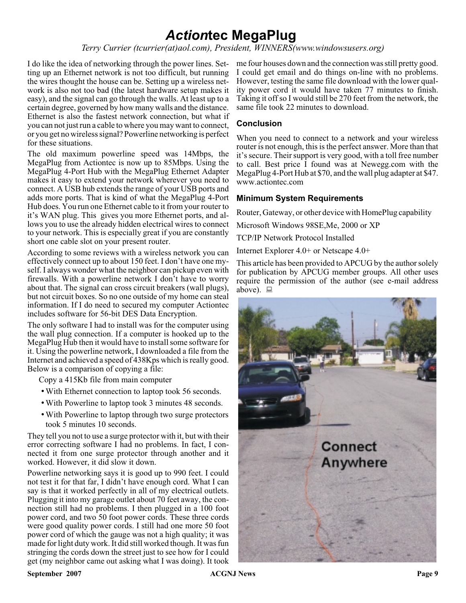## *Action***tec MegaPlug**

*Terry Currier (tcurrier(at)aol.com), President, WINNERS(www.windowsusers.org)*

ting up an Ethernet network is not too difficult, but running the wires thought the house can be. Setting up a wireless network is also not too bad (the latest hardware setup makes it easy), and the signal can go through the walls. At least up to a certain degree, governed by how many walls and the distance. Ethernet is also the fastest network connection, but what if you can not just run a cable to where you may want to connect, or you get no wireless signal? Powerline networking is perfect for these situations.

The old maximum powerline speed was 14Mbps, the MegaPlug from Actiontec is now up to 85Mbps. Using the MegaPlug 4-Port Hub with the MegaPlug Ethernet Adapter makes it easy to extend your network wherever you need to connect. A USB hub extends the range of your USB ports and adds more ports. That is kind of what the MegaPlug 4-Port Hub does. You run one Ethernet cable to it from your router to it's WAN plug. This gives you more Ethernet ports, and allows you to use the already hidden electrical wires to connect to your network. This is especially great if you are constantly short one cable slot on your present router.

According to some reviews with a wireless network you can effectively connect up to about 150 feet. I don't have one myself. I always wonder what the neighbor can pickup even with firewalls. With a powerline network I don't have to worry about that. The signal can cross circuit breakers (wall plugs), but not circuit boxes. So no one outside of my home can steal information. If I do need to secured my computer Actiontec includes software for 56-bit DES Data Encryption.

The only software I had to install was for the computer using the wall plug connection. If a computer is hooked up to the MegaPlug Hub then it would have to install some software for it. Using the powerline network, I downloaded a file from the Internet and achieved a speed of 438Kps which is really good. Below is a comparison of copying a file:

Copy a 415Kb file from main computer

- With Ethernet connection to laptop took 56 seconds.
- With Powerline to laptop took 3 minutes 48 seconds.
- With Powerline to laptop through two surge protectors took 5 minutes 10 seconds.

They tell you not to use a surge protector with it, but with their error correcting software I had no problems. In fact, I connected it from one surge protector through another and it worked. However, it did slow it down.

Powerline networking says it is good up to 990 feet. I could not test it for that far, I didn't have enough cord. What I can say is that it worked perfectly in all of my electrical outlets. Plugging it into my garage outlet about 70 feet away, the connection still had no problems. I then plugged in a 100 foot power cord, and two 50 foot power cords. These three cords were good quality power cords. I still had one more 50 foot power cord of which the gauge was not a high quality; it was made for light duty work. It did still worked though. It was fun stringing the cords down the street just to see how for I could get (my neighbor came out asking what I was doing). It took

I do like the idea of networking through the power lines. Set- me four houses down and the connection was still pretty good. I could get email and do things on-line with no problems. However, testing the same file download with the lower quality power cord it would have taken 77 minutes to finish. Taking it off so I would still be 270 feet from the network, the same file took 22 minutes to download.

#### **Conclusion**

When you need to connect to a network and your wireless router is not enough, this is the perfect answer. More than that it's secure. Their support is very good, with a toll free number to call. Best price I found was at Newegg.com with the MegaPlug 4-Port Hub at \$70, and the wall plug adapter at \$47. www.actiontec.com

#### **Minimum System Requirements**

Router, Gateway, or other device with HomePlug capability

Microsoft Windows 98SE,Me, 2000 or XP

TCP/IP Network Protocol Installed

Internet Explorer 4.0+ or Netscape 4.0+

This article has been provided to APCUG by the author solely for publication by APCUG member groups. All other uses require the permission of the author (see e-mail address above).  $\Box$ 

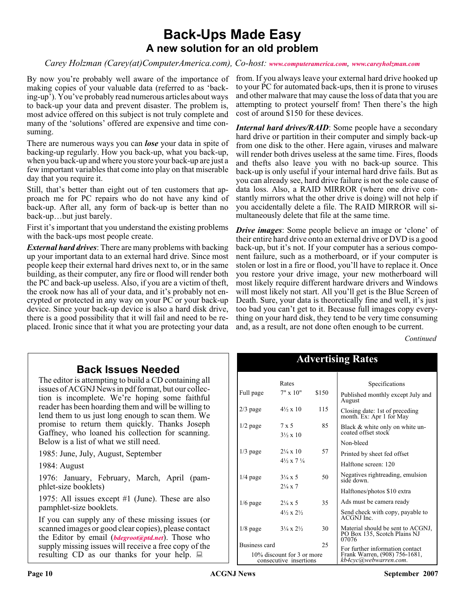### **Back-Ups Made Easy A new solution for an old problem**

*Carey Holzman (Carey(at)ComputerAmerica.com), Co-host: [www.computeramerica.com](http://www.computeramerica.com), [www.careyholzman.com](http://www.careyholzman.com)*

By now you're probably well aware of the importance of making copies of your valuable data (referred to as 'backing-up'). You've probably read numerous articles about ways to back-up your data and prevent disaster. The problem is, most advice offered on this subject is not truly complete and many of the 'solutions' offered are expensive and time consuming.

There are numerous ways you can *lose* your data in spite of backing-up regularly. How you back-up, what you back-up, when you back-up and where you store your back-up are just a few important variables that come into play on that miserable day that you require it.

Still, that's better than eight out of ten customers that approach me for PC repairs who do not have any kind of back-up. After all, any form of back-up is better than no back-up…but just barely.

First it's important that you understand the existing problems with the back-ups most people create.

*External hard drives*: There are many problems with backing up your important data to an external hard drive. Since most people keep their external hard drives next to, or in the same building, as their computer, any fire or flood will render both the PC and back-up useless. Also, if you are a victim of theft, the crook now has all of your data, and it's probably not encrypted or protected in any way on your PC or your back-up device. Since your back-up device is also a hard disk drive, there is a good possibility that it will fail and need to be replaced. Ironic since that it what you are protecting your data

from. If you always leave your external hard drive hooked up to your PC for automated back-ups, then it is prone to viruses and other malware that may cause the loss of data that you are attempting to protect yourself from! Then there's the high cost of around \$150 for these devices.

*Internal hard drives/RAID*: Some people have a secondary hard drive or partition in their computer and simply back-up from one disk to the other. Here again, viruses and malware will render both drives useless at the same time. Fires, floods and thefts also leave you with no back-up source. This back-up is only useful if your internal hard drive fails. But as you can already see, hard drive failure is not the sole cause of data loss. Also, a RAID MIRROR (where one drive constantly mirrors what the other drive is doing) will not help if you accidentally delete a file. The RAID MIRROR will simultaneously delete that file at the same time.

*Drive images*: Some people believe an image or 'clone' of their entire hard drive onto an external drive or DVD is a good back-up, but it's not. If your computer has a serious component failure, such as a motherboard, or if your computer is stolen or lost in a fire or flood, you'll have to replace it. Once you restore your drive image, your new motherboard will most likely require different hardware drivers and Windows will most likely not start. All you'll get is the Blue Screen of Death. Sure, your data is theoretically fine and well, it's just too bad you can't get to it. Because full images copy everything on your hard disk, they tend to be very time consuming and, as a result, are not done often enough to be current.

*Continued*

### **Back Issues Needed**

The editor is attempting to build a CD containing all issues of ACGNJ News in pdf format, but our collection is incomplete. We're hoping some faithful reader has been hoarding them and will be willing to lend them to us just long enough to scan them. We promise to return them quickly. Thanks Joseph Gaffney, who loaned his collection for scanning. Below is a list of what we still need.

1985: June, July, August, September

1984: August

1976: January, February, March, April (pamphlet-size booklets)

1975: All issues except #1 (June). These are also pamphlet-size booklets.

If you can supply any of these missing issues (or scanned images or good clear copies), please contact the Editor by email (*[bdegroot@ptd.net](mailto:bdegroot@ptd.net)*). Those who supply missing issues will receive a free copy of the resulting CD as our thanks for your help.  $\Box$ 

| <b>Advertising Rates</b>                             |                                          |       |                                                                            |  |
|------------------------------------------------------|------------------------------------------|-------|----------------------------------------------------------------------------|--|
|                                                      | Rates                                    |       | Specifications                                                             |  |
| Full page                                            | $7" \times 10"$                          | \$150 | Published monthly except July and<br>August                                |  |
| $2/3$ page                                           | $4\frac{1}{2} \times 10$                 | 115   | Closing date: 1st of preceding<br>month. Ex: Apr 1 for May                 |  |
| $1/2$ page                                           | $7 \times 5$<br>$3\frac{1}{2} \times 10$ | 85    | Black & white only on white un-<br>coated offset stock                     |  |
|                                                      |                                          |       | Non-bleed                                                                  |  |
| $1/3$ page                                           | $2\frac{1}{4} \times 10$                 | 57    | Printed by sheet fed offset                                                |  |
|                                                      | $4\frac{1}{2} \times 7\frac{1}{4}$       |       | Halftone screen: 120                                                       |  |
| $1/4$ page                                           | $3\frac{1}{4} \times 5$                  | 50    | Negatives rightreading, emulsion<br>side down.                             |  |
|                                                      | $2\frac{1}{4} \times 7$                  |       | Halftones/photos \$10 extra                                                |  |
| $1/6$ page                                           | $2\frac{1}{4} \times 5$                  | 35    | Ads must be camera ready                                                   |  |
|                                                      | $4\frac{1}{2} \times 2\frac{1}{2}$       |       | Send check with copy, payable to<br>ACGNJ Inc.                             |  |
| $1/8$ page                                           | $3\frac{1}{4} \times 2\frac{1}{2}$       | 30    | Material should be sent to ACGNJ,<br>PO Box 135, Scotch Plains NJ<br>07076 |  |
| Business card                                        |                                          | 25    | For further information contact                                            |  |
| 10% discount for 3 or more<br>consecutive insertions |                                          |       | Frank Warren, (908) 756-1681,<br>kb4cvc@webwarren.com.                     |  |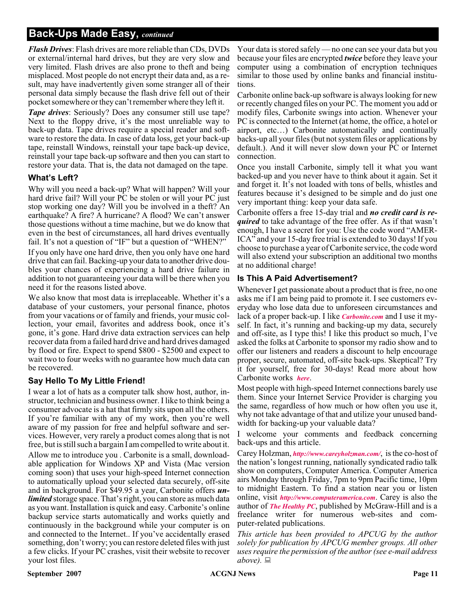### **Back-Ups Made Easy,** *continued*

*Flash Drives*: Flash drives are more reliable than CDs, DVDs or external/internal hard drives, but they are very slow and very limited. Flash drives are also prone to theft and being misplaced. Most people do not encrypt their data and, as a result, may have inadvertently given some stranger all of their personal data simply because the flash drive fell out of their pocket somewhere or they can't remember where they left it.

*Tape drives*: Seriously? Does any consumer still use tape? Next to the floppy drive, it's the most unreliable way to back-up data. Tape drives require a special reader and software to restore the data. In case of data loss, get your back-up tape, reinstall Windows, reinstall your tape back-up device, reinstall your tape back-up software and then you can start to restore your data. That is, the data not damaged on the tape.

#### **What's Left?**

Why will you need a back-up? What will happen? Will your hard drive fail? Will your PC be stolen or will your PC just stop working one day? Will you be involved in a theft? An earthquake? A fire? A hurricane? A flood? We can't answer those questions without a time machine, but we do know that even in the best of circumstances, all hard drives eventually fail. It's not a question of "IF" but a question of "WHEN?"

If you only have one hard drive, then you only have one hard drive that can fail. Backing-up your data to another drive doubles your chances of experiencing a hard drive failure in addition to not guaranteeing your data will be there when you need it for the reasons listed above.

We also know that most data is irreplaceable. Whether it's a database of your customers, your personal finance, photos from your vacations or of family and friends, your music collection, your email, favorites and address book, once it's gone, it's gone. Hard drive data extraction services can help recover data from a failed hard drive and hard drives damaged by flood or fire. Expect to spend \$800 - \$2500 and expect to wait two to four weeks with no guarantee how much data can be recovered.

#### **Say Hello To My Little Friend!**

I wear a lot of hats as a computer talk show host, author, instructor, technician and business owner. I like to think being a consumer advocate is a hat that firmly sits upon all the others. If you're familiar with any of my work, then you're well aware of my passion for free and helpful software and services. However, very rarely a product comes along that is not free, but is still such a bargain I am compelled to write about it. Allow me to introduce you . Carbonite is a small, downloadable application for Windows XP and Vista (Mac version coming soon) that uses your high-speed Internet connection to automatically upload your selected data securely, off-site and in background. For \$49.95 a year, Carbonite offers *unlimited* storage space. That's right, you can store as much data as you want. Installation is quick and easy. Carbonite's online backup service starts automatically and works quietly and continuously in the background while your computer is on and connected to the Internet.. If you've accidentally erased something, don't worry; you can restore deleted files with just a few clicks. If your PC crashes, visit their website to recover your lost files.

Your data is stored safely — no one can see your data but you because your files are encrypted *twice* before they leave your computer using a combination of encryption techniques similar to those used by online banks and financial institutions.

Carbonite online back-up software is always looking for new or recently changed files on your PC. The moment you add or modify files, Carbonite swings into action. Whenever your PC is connected to the Internet (at home, the office, a hotel or airport, etc…) Carbonite automatically and continually backs-up all your files (but not system files or applications by default.). And it will never slow down your PC or Internet connection.

Once you install Carbonite, simply tell it what you want backed-up and you never have to think about it again. Set it and forget it. It's not loaded with tons of bells, whistles and features because it's designed to be simple and do just one very important thing: keep your data safe.

Carbonite offers a free 15-day trial and *no credit card is required* to take advantage of the free offer. As if that wasn't enough, I have a secret for you: Use the code word "AMER-ICA" and your 15-day free trial is extended to 30 days! If you choose to purchase a year of Carbonite service, the code word will also extend your subscription an additional two months at no additional charge!

#### **Is This A Paid Advertisement?**

Whenever I get passionate about a product that is free, no one asks me if I am being paid to promote it. I see customers everyday who lose data due to unforeseen circumstances and lack of a proper back-up. I like *[Carbonite.com](http://Carbonite.com)* and I use it myself. In fact, it's running and backing-up my data, securely and off-site, as I type this! I like this product so much, I've asked the folks at Carbonite to sponsor my radio show and to offer our listeners and readers a discount to help encourage proper, secure, automated, off-site back-ups. Skeptical? Try it for yourself, free for 30-days! Read more about how Carbonite works *[here](http://www.carbonite.com/howitworks.aspx?)*.

Most people with high-speed Internet connections barely use them. Since your Internet Service Provider is charging you the same, regardless of how much or how often you use it, why not take advantage of that and utilize your unused bandwidth for backing-up your valuable data?

I welcome your comments and feedback concerning back-ups and this article.

Carey Holzman, *<http://www.careyholzman.com/>*, is the co-host of the nation's longest running, nationally syndicated radio talk show on computers, Computer America. Computer America airs Monday through Friday, 7pm to 9pm Pacific time, 10pm to midnight Eastern. To find a station near you or listen online, visit *<http://www.computeramerica.com>*. Carey is also the author of *[The Healthy PC](http://www.amazon.com/Healthy-PC-Preventive-Remedies-Computer/dp/0072229233/ref=pd_bbs_sr_1/104-8912461-3768745?ie=UTF8&s=books&qid=1179135453&sr=8-1)*, published by McGraw-Hill and is a freelance writer for numerous web-sites and computer-related publications.

*This article has been provided to APCUG by the author solely for publication by APCUG member groups. All other uses require the permission of the author (see e-mail address above).*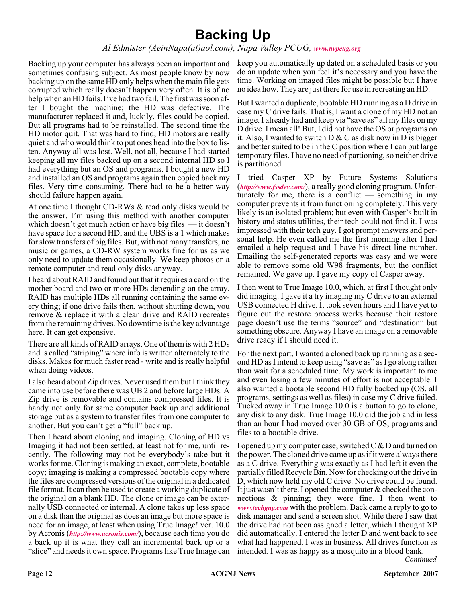## **Backing Up**

#### *Al Edmister (AeinNapa(at)aol.com), Napa Valley PCUG, [www.nvpcug.org](http://www.nvpcug.org)*

Backing up your computer has always been an important and sometimes confusing subject. As most people know by now backing up on the same HD only helps when the main file gets corrupted which really doesn't happen very often. It is of no help when an HD fails. I've had two fail. The first was soon after I bought the machine; the HD was defective. The manufacturer replaced it and, luckily, files could be copied. But all programs had to be reinstalled. The second time the HD motor quit. That was hard to find; HD motors are really quiet and who would think to put ones head into the box to listen. Anyway all was lost. Well, not all, because I had started keeping all my files backed up on a second internal HD so I had everything but an OS and programs. I bought a new HD and installed an OS and programs again then copied back my files. Very time consuming. There had to be a better way should failure happen again.

At one time I thought CD-RWs & read only disks would be the answer. I'm using this method with another computer which doesn't get much action or have big files — it doesn't have space for a second HD, and the UBS is a 1 which makes for slow transfers of big files. But, with not many transfers, no music or games, a CD-RW system works fine for us as we only need to update them occasionally. We keep photos on a remote computer and read only disks anyway.

I heard about RAID and found out that it requires a card on the mother board and two or more HDs depending on the array. RAID has multiple HDs all running containing the same every thing; if one drive fails then, without shutting down, you remove & replace it with a clean drive and RAID recreates from the remaining drives. No downtime is the key advantage here. It can get expensive.

There are all kinds of RAID arrays. One of them is with 2 HDs and is called "striping" where info is written alternately to the disks. Makes for much faster read - write and is really helpful when doing videos.

I also heard about Zip drives. Never used them but I think they came into use before there was UB 2 and before large HDs. A Zip drive is removable and contains compressed files. It is handy not only for same computer back up and additional storage but as a system to transfer files from one computer to another. But you can't get a "full" back up.

Then I heard about cloning and imaging. Cloning of HD vs Imaging it had not been settled, at least not for me, until recently. The following may not be everybody's take but it works for me. Cloning is making an exact, complete, bootable copy; imaging is making a compressed bootable copy where the files are compressed versions of the original in a dedicated file format. It can then be used to create a working duplicate of the original on a blank HD. The clone or image can be externally USB connected or internal. A clone takes up less space on a disk than the original as does an image but more space is need for an image, at least when using True Image! ver. 10.0 by Acronis (*<http://www.acronis.com/>*), because each time you do a back up it is what they call an incremental back up or a "slice" and needs it own space. Programs like True Image can

keep you automatically up dated on a scheduled basis or you do an update when you feel it's necessary and you have the time. Working on imaged files might be possible but I have no idea how. They are just there for use in recreating an HD.

But I wanted a duplicate, bootable HD running as a D drive in case my C drive fails. That is, I want a clone of my HD not an image. I already had and keep via "save as" all my files on my D drive. I mean all! But, I did not have the OS or programs on it. Also, I wanted to switch  $D & C$  as disk now in D is bigger and better suited to be in the C position where I can put large temporary files. I have no need of partioning, so neither drive is partitioned.

I tried Casper XP by Future Systems Solutions (*<http://www.fssdev.com/>*), a really good cloning program. Unfortunately for me, there is a conflict  $-$  something in my computer prevents it from functioning completely. This very likely is an isolated problem; but even with Casper's built in history and status utilities, their tech could not find it. I was impressed with their tech guy. I got prompt answers and personal help. He even called me the first morning after I had emailed a help request and I have his direct line number. Emailing the self-generated reports was easy and we were able to remove some old W98 fragments, but the conflict remained. We gave up. I gave my copy of Casper away.

I then went to True Image 10.0, which, at first I thought only did imaging. I gave it a try imaging my C drive to an external USB connected H drive. It took seven hours and I have yet to figure out the restore process works because their restore page doesn't use the terms "source" and "destination" but something obscure. Anyway I have an image on a removable drive ready if I should need it.

For the next part, I wanted a cloned back up running as a second HD as I intend to keep using "save as" as I go along rather than wait for a scheduled time. My work is important to me and even losing a few minutes of effort is not acceptable. I also wanted a bootable second HD fully backed up (OS, all programs, settings as well as files) in case my C drive failed. Tucked away in True Image 10.0 is a button to go to clone, any disk to any disk. True Image 10.0 did the job and in less than an hour I had moved over 30 GB of OS, programs and files to a bootable drive.

I opened up my computer case; switched  $C \& D$  and turned on the power. The cloned drive came up as if it were always there as a C drive. Everything was exactly as I had left it even the partially filled Recycle Bin. Now for checking out the drive in D, which now held my old C drive. No drive could be found. It just wasn't there. I opened the computer & checked the connections & pinning; they were fine. I then went to *[www.techguy.com](http://www.techguy.com)* with the problem. Back came a reply to go to disk manager and send a screen shot. While there I saw that the drive had not been assigned a letter,.which I thought XP did automatically. I entered the letter D and went back to see what had happened. I was in business. All drives function as intended. I was as happy as a mosquito in a blood bank.

*Continued*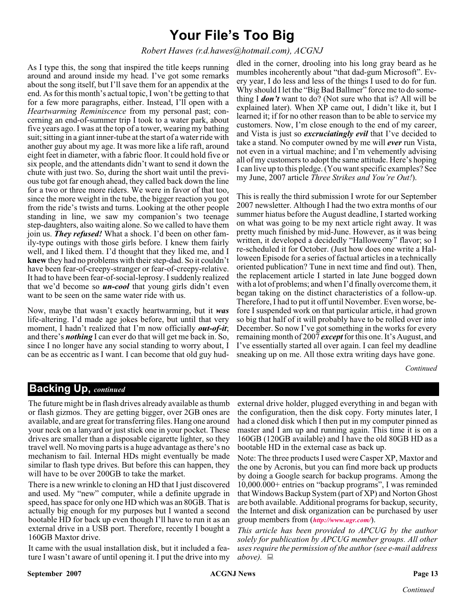## **Your File's Too Big**

#### *Robert Hawes (r.d.hawes@hotmail.com), ACGNJ*

As I type this, the song that inspired the title keeps running around and around inside my head. I've got some remarks about the song itself, but I'll save them for an appendix at the end. As for this month's actual topic, I won't be getting to that for a few more paragraphs, either. Instead, I'll open with a *Heartwarming Reminiscence* from my personal past; concerning an end-of-summer trip I took to a water park, about five years ago. I was at the top of a tower, wearing my bathing suit; sitting in a giant inner-tube at the start of a water ride with another guy about my age. It was more like a life raft, around eight feet in diameter, with a fabric floor. It could hold five or six people, and the attendants didn't want to send it down the chute with just two. So, during the short wait until the previous tube got far enough ahead, they called back down the line for a two or three more riders. We were in favor of that too, since the more weight in the tube, the bigger reaction you got from the ride's twists and turns. Looking at the other people standing in line, we saw my companion's two teenage step-daughters, also waiting alone. So we called to have them join us. *They refused!* What a shock. I'd been on other family-type outings with those girls before. I knew them fairly well, and I liked them. I'd thought that they liked me, and I **knew** they had no problems with their step-dad. So it couldn't have been fear-of-creepy-stranger or fear-of-creepy-relative. It had to have been fear-of-social-leprosy. I suddenly realized that we'd become so *un-cool* that young girls didn't even want to be seen on the same water ride with us.

Now, maybe that wasn't exactly heartwarming, but it *was* life-altering. I'd made age jokes before, but until that very moment, I hadn't realized that I'm now officially *out-of-it*; and there's *nothing* I can ever do that will get me back in. So, since I no longer have any social standing to worry about, I can be as eccentric as I want. I can become that old guy hud-

dled in the corner, drooling into his long gray beard as he mumbles incoherently about "that dad-gum Microsoft". Every year, I do less and less of the things I used to do for fun. Why should I let the "Big Bad Ballmer" force me to do something I *don't* want to do? (Not sure who that is? All will be explained later). When XP came out, I didn't like it, but I learned it; if for no other reason than to be able to service my customers. Now, I'm close enough to the end of my career, and Vista is just so *excruciatingly evil* that I've decided to take a stand. No computer owned by me will *ever* run Vista, not even in a virtual machine; and I'm vehemently advising all of my customers to adopt the same attitude. Here's hoping I can live up to this pledge. (You want specific examples? See my June, 2007 article *Three Strikes and You're Out!*).

This is really the third submission I wrote for our September 2007 newsletter. Although I had the two extra months of our summer hiatus before the August deadline, I started working on what was going to be my next article right away. It was pretty much finished by mid-June. However, as it was being written, it developed a decidedly "Halloweeny" flavor; so I re-scheduled it for October. (Just how does one write a Halloween Episode for a series of factual articles in a technically oriented publication? Tune in next time and find out). Then, the replacement article I started in late June bogged down with a lot of problems; and when I'd finally overcome them, it began taking on the distinct characteristics of a follow-up. Therefore, I had to put it off until November. Even worse, before I suspended work on that particular article, it had grown so big that half of it will probably have to be rolled over into December. So now I've got something in the works for every remaining month of 2007 *except*for this one. It's August, and I've essentially started all over again. I can feel my deadline sneaking up on me. All those extra writing days have gone.

*Continued*

### **Backing Up,** *continued*

The future might be in flash drives already available as thumb or flash gizmos. They are getting bigger, over 2GB ones are available, and are great for transferring files. Hang one around your neck on a lanyard or just stick one in your pocket. These drives are smaller than a disposable cigarette lighter, so they travel well. No moving parts is a huge advantage as there's no mechanism to fail. Internal HDs might eventually be made similar to flash type drives. But before this can happen, they will have to be over 200GB to take the market.

There is a new wrinkle to cloning an HD that I just discovered and used. My "new" computer, while a definite upgrade in speed, has space for only one HD which was an 80GB. That is actually big enough for my purposes but I wanted a second bootable HD for back up even though I'll have to run it as an external drive in a USB port. Therefore, recently I bought a 160GB Maxtor drive.

It came with the usual installation disk, but it included a feature I wasn't aware of until opening it. I put the drive into my

external drive holder, plugged everything in and began with the configuration, then the disk copy. Forty minutes later, I had a cloned disk which I then put in my computer pinned as master and I am up and running again. This time it is on a 160GB (120GB available) and I have the old 80GB HD as a bootable HD in the external case as back up.

Note: The three products I used were Casper XP, Maxtor and the one by Acronis, but you can find more back up products by doing a Google search for backup programs. Among the 10,000.000+ entries on "backup programs", I was reminded that Windows Backup System (part of XP) and Norton Ghost are both available. Additional programs for backup, security, the Internet and disk organization can be purchased by user group members from (*<http://www.ugr.com/>*).

*This article has been provided to APCUG by the author solely for publication by APCUG member groups. All other uses require the permission of the author (see e-mail address above).*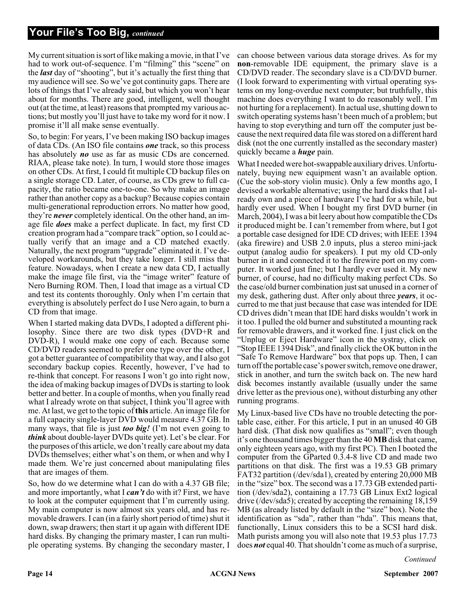### **Your File's Too Big,** *continued*

My current situation is sort of like making a movie, in that I've had to work out-of-sequence. I'm "filming" this "scene" on the *last* day of "shooting", but it's actually the first thing that my audience will see. So we've got continuity gaps. There are lots of things that I've already said, but which you won't hear about for months. There are good, intelligent, well thought out (at the time, at least) reasons that prompted my various actions; but mostly you'll just have to take my word for it now. I promise it'll all make sense eventually.

So, to begin: For years, I've been making ISO backup images of data CDs. (An ISO file contains *one* track, so this process has absolutely *no* use as far as music CDs are concerned. RIAA, please take note). In turn, I would store those images on other CDs. At first, I could fit multiple CD backup files on a single storage CD. Later, of course, as CDs grew to full capacity, the ratio became one-to-one. So why make an image rather than another copy as a backup? Because copies contain multi-generational reproduction errors. No matter how good, they're *never* completely identical. On the other hand, an image file *does* make a perfect duplicate. In fact, my first CD creation program had a "compare track" option, so I could actually verify that an image and a CD matched exactly. Naturally, the next program "upgrade" eliminated it. I've developed workarounds, but they take longer. I still miss that feature. Nowadays, when I create a new data CD, I actually make the image file first, via the "image writer" feature of Nero Burning ROM. Then, I load that image as a virtual CD and test its contents thoroughly. Only when I'm certain that everything is absolutely perfect do I use Nero again, to burn a CD from that image.

When I started making data DVDs, I adopted a different philosophy. Since there are two disk types (DVD+R and DVD-R), I would make one copy of each. Because some CD/DVD readers seemed to prefer one type over the other, I got a better guarantee of compatibility that way, and I also got secondary backup copies. Recently, however, I've had to re-think that concept. For reasons I won't go into right now, the idea of making backup images of DVDs is starting to look better and better. In a couple of months, when you finally read what I already wrote on that subject, I think you'll agree with me. At last, we get to the topic of**this** article. An image file for a full capacity single-layer DVD would measure 4.37 GB. In many ways, that file is just *too big!* (I'm not even going to *think* about double-layer DVDs quite yet). Let's be clear. For the purposes of this article, we don't really care about my data DVDs themselves; either what's on them, or when and why I made them. We're just concerned about manipulating files that are images of them.

So, how do we determine what I can do with a 4.37 GB file; and more importantly, what I *can't* do with it? First, we have to look at the computer equipment that I'm currently using. My main computer is now almost six years old, and has removable drawers. I can (in a fairly short period of time) shut it down, swap drawers; then start it up again with different IDE hard disks. By changing the primary master, I can run multiple operating systems. By changing the secondary master, I

can choose between various data storage drives. As for my **non-removable IDE** equipment, the primary slave is a CD/DVD reader. The secondary slave is a CD/DVD burner. (I look forward to experimenting with virtual operating systems on my long-overdue next computer; but truthfully, this machine does everything I want to do reasonably well. I'm not hurting for a replacement). In actual use, shutting down to switch operating systems hasn't been much of a problem; but having to stop everything and turn off the computer just because the next required data file was stored on a different hard disk (not the one currently installed as the secondary master) quickly became a *huge* pain.

What I needed were hot-swappable auxiliary drives. Unfortunately, buying new equipment wasn't an available option. (Cue the sob-story violin music). Only a few months ago, I devised a workable alternative; using the hard disks that I already own and a piece of hardware I've had for a while, but hardly ever used. When I bought my first DVD burner (in March, 2004), I was a bit leery about how compatible the CDs it produced might be. I can't remember from where, but I got a portable case designed for IDE CD drives; with IEEE 1394 (aka firewire) and USB 2.0 inputs, plus a stereo mini-jack output (analog audio for speakers). I put my old CD-only burner in it and connected it to the firewire port on my computer. It worked just fine; but I hardly ever used it. My new burner, of course, had no difficulty making perfect CDs. So the case/old burner combination just sat unused in a corner of my desk, gathering dust. After only about three *years*, it occurred to me that just because that case was intended for IDE CD drives didn't mean that IDE hard disks wouldn't work in it too. I pulled the old burner and substituted a mounting rack for removable drawers, and it worked fine. I just click on the "Unplug or Eject Hardware" icon in the systray, click on "Stop IEEE 1394 Disk", and finally click the OK button in the "Safe To Remove Hardware" box that pops up. Then, I can turn off the portable case's power switch, remove one drawer, stick in another, and turn the switch back on. The new hard disk becomes instantly available (usually under the same drive letter as the previous one), without disturbing any other running programs.

My Linux-based live CDs have no trouble detecting the portable case, either. For this article, I put in an unused 40 GB hard disk. (That disk now qualifies as "small"; even though it's one thousand times bigger than the 40 **MB**disk that came, only eighteen years ago, with my first PC). Then I booted the computer from the GParted 0.3.4-8 live CD and made two partitions on that disk. The first was a 19.53 GB primary FAT32 partition (/dev/sda1), created by entering 20,000 MB in the "size" box. The second was a 17.73 GB extended partition (/dev/sda2), containing a 17.73 GB Linux Ext2 logical drive (/dev/sda5); created by accepting the remaining 18,159 MB (as already listed by default in the "size" box). Note the identification as "sda", rather than "hda". This means that, functionally, Linux considers this to be a SCSI hard disk. Math purists among you will also note that 19.53 plus 17.73 does *not* equal 40. That shouldn't come as much of a surprise,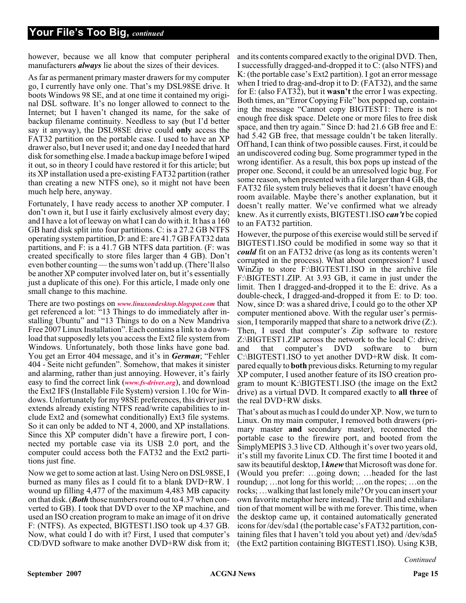however, because we all know that computer peripheral manufacturers *always* lie about the sizes of their devices.

As far as permanent primary master drawers for my computer go, I currently have only one. That's my DSL98SE drive. It boots Windows 98 SE, and at one time it contained my original DSL software. It's no longer allowed to connect to the Internet; but I haven't changed its name, for the sake of backup filename continuity. Needless to say (but I'd better say it anyway), the DSL98SE drive could **only** access the FAT32 partition on the portable case. I used to have an XP drawer also, but I never used it; and one day I needed that hard disk for something else. I made a backup image before I wiped it out, so in theory I could have restored it for this article; but its XP installation used a pre-existing FAT32 partition (rather than creating a new NTFS one), so it might not have been much help here, anyway.

Fortunately, I have ready access to another XP computer. I don't own it, but I use it fairly exclusively almost every day; and I have a lot of leeway on what I can do with it. It has a 160 GB hard disk split into four partitions. C: is a 27.2 GB NTFS operating system partition, D: and E: are 41.7 GB FAT32 data partitions, and F: is a 41.7 GB NTFS data partition. (F: was created specifically to store files larger than 4 GB). Don't even bother counting — the sums won't add up. (There'll also be another XP computer involved later on, but it's essentially just a duplicate of this one). For this article, I made only one small change to this machine.

There are two postings on *[www.linuxondesktop.blogspot.com](http://www.linuxondesktop.blogspot.com)* that get referenced a lot: "13 Things to do immediately after installing Ubuntu" and "13 Things to do on a New Mandriva Free 2007 Linux Installation". Each contains a link to a download that supposedly lets you access the Ext2 file system from Windows. Unfortunately, both those links have gone bad. You get an Error 404 message, and it's in *German*; "Fehler 404 - Seite nicht gefunden". Somehow, that makes it sinister and alarming, rather than just annoying. However, it's fairly easy to find the correct link (*[www.fs-driver.org](http://www.fs-driver.org)*), and download the Ext2 IFS (Installable File System) version 1.10c for Windows. Unfortunately for my 98SE preferences, this driver just extends already existing NTFS read/write capabilities to include Ext2 and (somewhat conditionally) Ext3 file systems. So it can only be added to NT 4, 2000, and XP installations. Since this XP computer didn't have a firewire port, I connected my portable case via its USB 2.0 port, and the computer could access both the FAT32 and the Ext2 partitions just fine.

Now we get to some action at last. Using Nero on DSL98SE, I burned as many files as I could fit to a blank DVD+RW. I wound up filling 4,477 of the maximum 4,483 MB capacity on that disk. (*Both* those numbers round out to 4.37 when converted to GB). I took that DVD over to the XP machine, and used an ISO creation program to make an image of it on drive F: (NTFS). As expected, BIGTEST1.ISO took up 4.37 GB. Now, what could I do with it? First, I used that computer's CD/DVD software to make another DVD+RW disk from it;

and its contents compared exactly to the original DVD. Then, I successfully dragged-and-dropped it to C: (also NTFS) and K: (the portable case's Ext2 partition). I got an error message when I tried to drag-and-drop it to D: (FAT32), and the same for E: (also FAT32), but it **wasn't** the error I was expecting. Both times, an "Error Copying File" box popped up, containing the message "Cannot copy BIGTEST1: There is not enough free disk space. Delete one or more files to free disk space, and then try again." Since D: had 21.6 GB free and E: had 5.42 GB free, that message couldn't be taken literally. Off hand, I can think of two possible causes. First, it could be an undiscovered coding bug. Some programmer typed in the wrong identifier. As a result, this box pops up instead of the proper one. Second, it could be an unresolved logic bug. For some reason, when presented with a file larger than 4 GB, the FAT32 file system truly believes that it doesn't have enough room available. Maybe there's another explanation, but it doesn't really matter. We've confirmed what we already knew. As it currently exists, BIGTEST1.ISO *can't* be copied to an FAT32 partition.

However, the purpose of this exercise would still be served if BIGTEST1.ISO could be modified in some way so that it *could* fit on an FAT32 drive (as long as its contents weren't corrupted in the process). What about compression? I used WinZip to store F:\BIGTEST1.ISO in the archive file F:\BIGTEST1.ZIP. At 3.93 GB, it came in just under the limit. Then I dragged-and-dropped it to the E: drive. As a double-check, I dragged-and-dropped it from E: to D: too. Now, since D: was a shared drive, I could go to the other XP computer mentioned above. With the regular user's permission, I temporarily mapped that share to a network drive  $(Z<sub>i</sub>)$ . Then, I used that computer's Zip software to restore Z:\BIGTEST1.ZIP across the network to the local C: drive; and that computer's DVD software to burn C:\BIGTEST1.ISO to yet another DVD+RW disk. It compared equally to **both** previous disks. Returning to my regular XP computer, I used another feature of its ISO creation program to mount K:\BIGTEST1.ISO (the image on the Ext2 drive) as a virtual DVD. It compared exactly to **all three** of the real DVD+RW disks.

That's about as much as I could do under XP. Now, we turn to Linux. On my main computer, I removed both drawers (primary master **and** secondary master), reconnected the portable case to the firewire port, and booted from the SimplyMEPIS 3.3 live CD. Although it's over two years old, it's still my favorite Linux CD. The first time I booted it and saw its beautiful desktop, I *knew*that Microsoft was done for. (Would you prefer: …going down; …headed for the last roundup; …not long for this world; …on the ropes; …on the rocks; …walking that last lonely mile? Or you can insert your own favorite metaphor here instead). The thrill and exhilaration of that moment will be with me forever. This time, when the desktop came up, it contained automatically generated icons for /dev/sda1 (the portable case's FAT32 partition, containing files that I haven't told you about yet) and /dev/sda5 (the Ext2 partition containing BIGTEST1.ISO). Using K3B,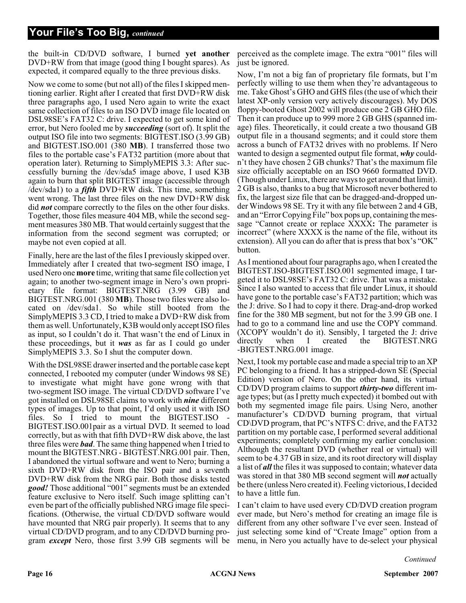### **Your File's Too Big,** *continued*

the built-in CD/DVD software, I burned **yet another** DVD+RW from that image (good thing I bought spares). As expected, it compared equally to the three previous disks.

Now we come to some (but not all) of the files I skipped mentioning earlier. Right after I created that first DVD+RW disk three paragraphs ago, I used Nero again to write the exact same collection of files to an ISO DVD image file located on DSL98SE's FAT32 C: drive. I expected to get some kind of error, but Nero fooled me by *succeeding* (sort of). It split the output ISO file into two segments: BIGTEST.ISO (3.99 GB) and BIGTEST.ISO.001 (380 **MB**). I transferred those two files to the portable case's FAT32 partition (more about that operation later). Returning to SimplyMEPIS 3.3: After successfully burning the /dev/sda5 image above, I used K3B again to burn that split BIGTEST image (accessible through /dev/sda1) to a *fifth* DVD+RW disk. This time, something went wrong. The last three files on the new DVD+RW disk did *not* compare correctly to the files on the other four disks. Together, those files measure 404 MB, while the second segment measures 380 MB. That would certainly suggest that the information from the second segment was corrupted; or maybe not even copied at all.

Finally, here are the last of the files I previously skipped over. Immediately after I created that two-segment ISO image, I used Nero one **more** time, writing that same file collection yet again; to another two-segment image in Nero's own proprietary file format: BIGTEST.NRG (3.99 GB) and BIGTEST.NRG.001 (380 **MB**). Those two files were also located on /dev/sda1. So while still booted from the SimplyMEPIS 3.3 CD, I tried to make a DVD+RW disk from them as well. Unfortunately, K3B would only accept ISO files as input, so I couldn't do it. That wasn't the end of Linux in these proceedings, but it *was* as far as I could go under SimplyMEPIS 3.3. So I shut the computer down.

With the DSL98SE drawer inserted and the portable case kept connected, I rebooted my computer (under Windows 98 SE) to investigate what might have gone wrong with that two-segment ISO image. The virtual CD/DVD software I've got installed on DSL98SE claims to work with *nine* different types of images. Up to that point, I'd only used it with ISO files. So I tried to mount the BIGTEST.ISO BIGTEST.ISO.001pair as a virtual DVD. It seemed to load correctly, but as with that fifth DVD+RW disk above, the last three files were *bad*. The same thing happened when I tried to mount the BIGTEST.NRG - BIGTEST.NRG.001 pair. Then, I abandoned the virtual software and went to Nero; burning a sixth DVD+RW disk from the ISO pair and a seventh DVD+RW disk from the NRG pair. Both those disks tested *good!* Those additional "001" segments must be an extended feature exclusive to Nero itself. Such image splitting can't even be part of the officially published NRG image file specifications. (Otherwise, the virtual CD/DVD software would have mounted that NRG pair properly). It seems that to any virtual CD/DVD program, and to any CD/DVD burning program *except* Nero, those first 3.99 GB segments will be

perceived as the complete image. The extra "001" files will just be ignored.

Now, I'm not a big fan of proprietary file formats, but I'm perfectly willing to use them when they're advantageous to me. Take Ghost's GHO and GHS files (the use of which their latest XP-only version very actively discourages). My DOS floppy-booted Ghost 2002 will produce one 2 GB GHO file. Then it can produce up to 999 more 2 GB GHS (spanned image) files. Theoretically, it could create a two thousand GB output file in a thousand segments; and it could store them across a bunch of FAT32 drives with no problems. If Nero wanted to design a segmented output file format, *why* couldn't they have chosen 2 GB chunks? That's the maximum file size officially acceptable on an ISO 9660 formatted DVD. (Though under Linux, there are ways to get around that limit). 2 GB is also, thanks to a bug that Microsoft never bothered to fix, the largest size file that can be dragged-and-dropped under Windows 98 SE. Try it with any file between 2 and 4 GB, and an "Error Copying File" box pops up, containing the message "Cannot create or replace XXXX**:** The parameter is incorrect" (where XXXX is the name of the file, without its extension). All you can do after that is press that box's "OK" button.

As I mentioned about four paragraphs ago, when I created the BIGTEST.ISO-BIGTEST.ISO.001 segmented image, I targeted it to DSL98SE's FAT32 C: drive. That was a mistake. Since I also wanted to access that file under Linux, it should have gone to the portable case's FAT32 partition; which was the J: drive. So I had to copy it there. Drag-and-drop worked fine for the 380 MB segment, but not for the 3.99 GB one. I had to go to a command line and use the COPY command. (XCOPY wouldn't do it). Sensibly, I targeted the J: drive directly when I created the BIGTEST.NRG -BIGTEST.NRG.001 image.

Next, I took my portable case and made a special trip to an XP PC belonging to a friend. It has a stripped-down SE (Special Edition) version of Nero. On the other hand, its virtual CD/DVD program claims to support *thirty-two* different image types; but (as I pretty much expected) it bombed out with both my segmented image file pairs. Using Nero, another manufacturer's CD/DVD burning program, that virtual CD\DVD program, that PC's NTFS C: drive, and the FAT32 partition on my portable case, I performed several additional experiments; completely confirming my earlier conclusion: Although the resultant DVD (whether real or virtual) will seem to be 4.37 GB in size, and its root directory will display a list of *all* the files it was supposed to contain; whatever data was stored in that 380 MB second segment will *not* actually be there (unless Nero created it). Feeling victorious, I decided to have a little fun.

I can't claim to have used every CD/DVD creation program ever made, but Nero's method for creating an image file is different from any other software I've ever seen. Instead of just selecting some kind of "Create Image" option from a menu, in Nero you actually have to de-select your physical

*Continued*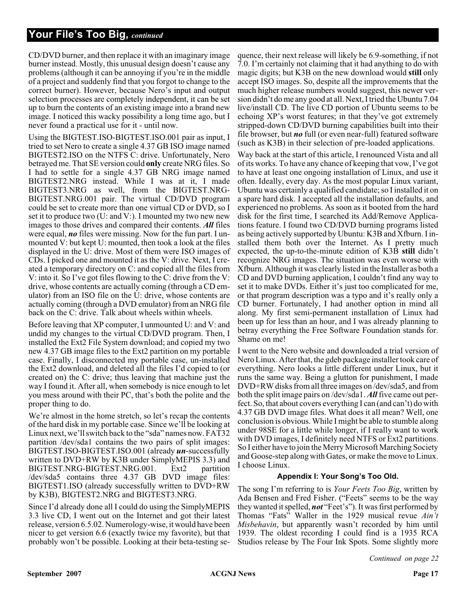### **Your File's Too Big,** *continued*

CD/DVD burner, and then replace it with an imaginary image burner instead. Mostly, this unusual design doesn't cause any problems (although it can be annoying if you're in the middle of a project and suddenly find that you forgot to change to the correct burner). However, because Nero's input and output selection processes are completely independent, it can be set up to burn the contents of an existing image into a brand new image. I noticed this wacky possibility a long time ago, but I never found a practical use for it - until now.

Using the BIGTEST.ISO-BIGTEST.ISO.001 pair as input, I tried to set Nero to create a single 4.37 GB ISO image named BIGTEST2.ISO on the NTFS C: drive. Unfortunately, Nero betrayed me. That SE version could **only** create NRG files. So I had to settle for a single 4.37 GB NRG image named BIGTEST2.NRG instead. While I was at it, I made BIGTEST3.NRG as well, from the BIGTEST.NRG-BIGTEST.NRG.001 pair. The virtual CD/DVD program could be set to create more than one virtual CD or DVD, so I set it to produce two (U: and V:). I mounted my two new new images to those drives and compared their contents. *All* files were equal, *no* files were missing. Now for the fun part. I unmounted V: but kept U: mounted, then took a look at the files displayed in the U: drive. Most of them were ISO images of CDs. I picked one and mounted it as the V: drive. Next, I created a temporary directory on C: and copied all the files from V: into it. So I've got files flowing to the C: drive from the V: drive, whose contents are actually coming (through a CD emulator) from an ISO file on the U: drive, whose contents are actually coming (through a DVD emulator) from an NRG file back on the C: drive. Talk about wheels within wheels.

Before leaving that XP computer, I unmounted U: and V: and undid my changes to the virtual CD/DVD program. Then, I installed the Ext2 File System download; and copied my two new 4.37 GB image files to the Ext2 partition on my portable case. Finally, I disconnected my portable case, un-installed the Ext2 download, and deleted all the files I'd copied to (or created on) the C: drive; thus leaving that machine just the way I found it. After all, when somebody is nice enough to let you mess around with their PC, that's both the polite and the proper thing to do.

We're almost in the home stretch, so let's recap the contents of the hard disk in my portable case. Since we'll be looking at Linux next, we'll switch back to the "sda" names now. FAT32 partition /dev/sda1 contains the two pairs of split images: BIGTEST.ISO-BIGTEST.ISO.001 (already *un*-successfully written to DVD+RW by K3B under SimplyMEPIS 3.3) and BIGTEST.NRG-BIGTEST.NRG.001. Ext2 partition /dev/sda5 contains three 4.37 GB DVD image files: BIGTEST1.ISO (already successfully written to DVD+RW by K3B), BIGTEST2.NRG and BIGTEST3.NRG.

Since I'd already done all I could do using the SimplyMEPIS 3.3 live CD, I went out on the Internet and got their latest release, version 6.5.02. Numerology-wise, it would have been nicer to get version 6.6 (exactly twice my favorite), but that probably won't be possible. Looking at their beta-testing se-

quence, their next release will likely be 6.9-something, if not 7.0. I'm certainly not claiming that it had anything to do with magic digits; but K3B on the new download would **still** only accept ISO images. So, despite all the improvements that the much higher release numbers would suggest, this newer version didn't do me any good at all. Next, I tried the Ubuntu 7.04 live/install CD. The live CD portion of Ubuntu seems to be echoing XP's worst features; in that they've got extremely stripped-down CD/DVD burning capabilities built into their file browser, but *no* full (or even near-full) featured software (such as K3B) in their selection of pre-loaded applications.

Way back at the start of this article, I renounced Vista and all of its works. To have any chance of keeping that vow, I've got to have at least one ongoing installation of Linux, and use it often. Ideally, every day. As the most popular Linux variant, Ubuntu was certainly a qualified candidate; so I installed it on a spare hard disk. I accepted all the installation defaults, and experienced no problems. As soon as it booted from the hard disk for the first time, I searched its Add/Remove Applications feature. I found two CD/DVD burning programs listed as being actively supported by Ubuntu: K3B and Xfburn. I installed them both over the Internet. As I pretty much expected, the up-to-the-minute edition of K3B **still** didn't recognize NRG images. The situation was even worse with Xfburn. Although it was clearly listed in the Installer as both a CD and DVD burning application, I couldn't find any way to set it to make DVDs. Either it's just too complicated for me, or that program description was a typo and it's really only a CD burner. Fortunately, I had another option in mind all along. My first semi-permanent installation of Linux had been up for less than an hour, and I was already planning to betray everything the Free Software Foundation stands for. Shame on me!

I went to the Nero website and downloaded a trial version of Nero Linux. After that, the gdeb package installer took care of everything. Nero looks a little different under Linux, but it runs the same way. Being a glutton for punishment, I made DVD+RW disks from all three images on /dev/sda5, and from both the split image pairs on /dev/sda1. *All* five came out perfect. So, that about covers everything I can (and can't) do with 4.37 GB DVD image files. What does it all mean? Well, one conclusion is obvious. While I might be able to stumble along under 98SE for a little while longer, if I really want to work with DVD images, I definitely need NTFS or Ext2 partitions. So I either have to join the Merry Microsoft Marching Society and Goose-step along with Gates, or make the move to Linux. I choose Linux.

#### **Appendix I: Your Song's Too Old.**

The song I'm referring to is *Your Feets Too Big*, written by Ada Bensen and Fred Fisher. ("Feets" seems to be the way they wanted it spelled, *not* "Feet's"). It was first performed by Thomas "Fats" Waller in the 1929 musical revue *Ain't Misbehavin*, but apparently wasn't recorded by him until 1939. The oldest recording I could find is a 1935 RCA Studios release by The Four Ink Spots. Some slightly more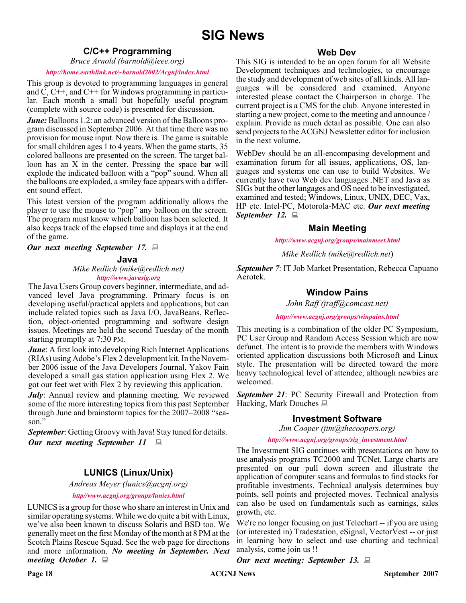#### **C/C++ Programming**

*Bruce Arnold (barnold@ieee.org)*

#### *<http://home.earthlink.net/~barnold2002/Acgnj/index.html>*

This group is devoted to programming languages in general and C, C++, and C++ for Windows programming in particular. Each month a small but hopefully useful program (complete with source code) is presented for discussion.

*June:* Balloons 1.2: an advanced version of the Balloons program discussed in September 2006. At that time there was no provision for mouse input. Now there is. The game is suitable for small children ages 1 to 4 years. When the game starts, 35 colored balloons are presented on the screen. The target balloon has an X in the center. Pressing the space bar will explode the indicated balloon with a "pop" sound. When all the balloons are exploded, a smiley face appears with a different sound effect.

This latest version of the program additionally allows the player to use the mouse to "pop" any balloon on the screen. The program must know which balloon has been selected. It also keeps track of the elapsed time and displays it at the end of the game.

*Our next meeting September 17.*

#### **Java**

*Mike Redlich (mike@redlich.net) <http://www.javasig.org>*

The Java Users Group covers beginner, intermediate, and advanced level Java programming. Primary focus is on developing useful/practical applets and applications, but can include related topics such as Java I/O, JavaBeans, Reflection, object-oriented programming and software design issues. Meetings are held the second Tuesday of the month starting promptly at 7:30 PM.

*June*: A first look into developing Rich Internet Applications (RIAs) using Adobe's Flex 2 development kit. In the November 2006 issue of the Java Developers Journal, Yakov Fain developed a small gas station application using Flex 2. We got our feet wet with Flex 2 by reviewing this application.

*July*: Annual review and planning meeting. We reviewed some of the more interesting topics from this past September through June and brainstorm topics for the 2007–2008 "season."

*September*: Getting Groovy with Java! Stay tuned for details. *Our next meeting September 11*

### **LUNICS (Linux/Unix)**

*Andreas Meyer (lunics@acgnj.org)*

*<http//www.acgnj.org/groups/lunics.html>*

LUNICS is a group for those who share an interest in Unix and similar operating systems. While we do quite a bit with Linux, we've also been known to discuss Solaris and BSD too. We generally meet on the first Monday of the month at 8 PM at the Scotch Plains Rescue Squad. See the web page for directions and more information. *No meeting in September. Next meeting October 1.*

#### **Web Dev**

This SIG is intended to be an open forum for all Website Development techniques and technologies, to encourage the study and development of web sites of all kinds. All languages will be considered and examined. Anyone interested please contact the Chairperson in charge. The current project is a CMS for the club. Anyone interested in starting a new project, come to the meeting and announce / explain. Provide as much detail as possible. One can also send projects to the ACGNJ Newsletter editor for inclusion in the next volume.

WebDev should be an all-encompasing development and examination forum for all issues, applications, OS, languages and systems one can use to build Websites. We currently have two Web dev languages .NET and Java as SIGs but the other langages and OS need to be investigated, examined and tested; Windows, Linux, UNIX, DEC, Vax, HP etc. Intel-PC, Motorola-MAC etc. *Our next meeting September 12.*

#### **Main Meeting**

*<http://www.acgnj.org/groups/mainmeet.html>*

*Mike Redlich (mike@redlich.net*)

*September 7*: IT Job Market Presentation, Rebecca Capuano Aerotek.

#### **Window Pains**

*John Raff (jraff@comcast.net)*

*<http://www.acgnj.org/groups/winpains.html>*

This meeting is a combination of the older PC Symposium, PC User Group and Random Access Session which are now defunct. The intent is to provide the members with Windows oriented application discussions both Microsoft and Linux style. The presentation will be directed toward the more heavy technological level of attendee, although newbies are welcomed.

*September 21*: PC Security Firewall and Protection from Hacking, Mark Douches  $\Box$ 

#### **Investment Software**

*Jim Cooper (jim@thecoopers.org)*

#### *[http://www.acgnj.org/groups/sig\\_investment.html](http://www.acgnj.org/groups/sig_investment.html)*

The Investment SIG continues with presentations on how to use analysis programs TC2000 and TCNet. Large charts are presented on our pull down screen and illustrate the application of computer scans and formulas to find stocks for profitable investments. Technical analysis determines buy points, sell points and projected moves. Technical analysis can also be used on fundamentals such as earnings, sales growth, etc.

We're no longer focusing on just Telechart -- if you are using (or interested in) Tradestation, eSignal, VectorVest -- or just in learning how to select and use charting and technical analysis, come join us !!

*Our next meeting: September 13.*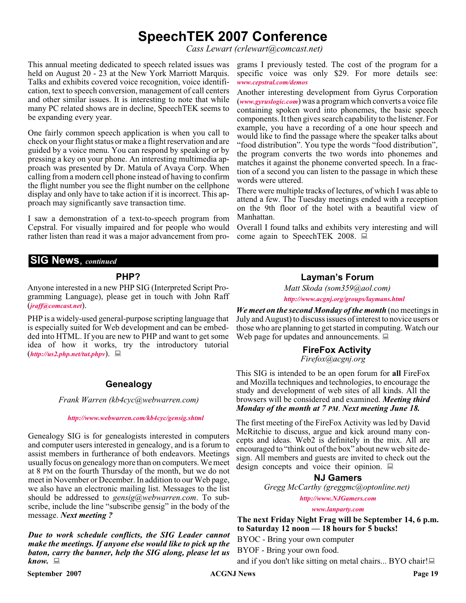## **SpeechTEK 2007 Conference**

*Cass Lewart (crlewart@comcast.net)*

This annual meeting dedicated to speech related issues was held on August 20 - 23 at the New York Marriott Marquis. Talks and exhibits covered voice recognition, voice identification, text to speech conversion, management of call centers and other similar issues. It is interesting to note that while many PC related shows are in decline, SpeechTEK seems to be expanding every year.

One fairly common speech application is when you call to check on your flight status or make a flight reservation and are guided by a voice menu. You can respond by speaking or by pressing a key on your phone. An interesting multimedia approach was presented by Dr. Matula of Avaya Corp. When calling from a modern cell phone instead of having to confirm the flight number you see the flight number on the cellphone display and only have to take action if it is incorrect. This approach may significantly save transaction time.

I saw a demonstration of a text-to-speech program from Cepstral. For visually impaired and for people who would rather listen than read it was a major advancement from pro-

**SIG News**, *continued*

#### **PHP?**

Anyone interested in a new PHP SIG (Interpreted Script Programming Language), please get in touch with John Raff (*[jraff@comcast.net](mailto:jraff@comcast.net)*).

PHP is a widely-used general-purpose scripting language that is especially suited for Web development and can be embedded into HTML. If you are new to PHP and want to get some idea of how it works, try the introductory tutorial (*<http://us2.php.net/tut.phpv>*). **FireFox Activity**

#### **Genealogy**

*Frank Warren (kb4cyc@webwarren.com)*

#### *<http://www.webwarren.com/kb4cyc/gensig.shtml>*

Genealogy SIG is for genealogists interested in computers and computer users interested in genealogy, and is a forum to assist members in furtherance of both endeavors. Meetings usually focus on genealogy more than on computers. We meet at 8 PM on the fourth Thursday of the month, but we do not meet in November or December. In addition to our Web page, we also have an electronic mailing list. Messages to the list should be addressed to *gensig@webwarren.com*. To subscribe, include the line "subscribe gensig" in the body of the message. *Next meeting ?*

*Due to work schedule conflicts, the SIG Leader cannot make the meetings. If anyone else would like to pick up the baton, carry the banner, help the SIG along, please let us know.*

**September 2007 ACGNJ News Page 19** 

grams I previously tested. The cost of the program for a specific voice was only \$29. For more details see: *[www.cepstral.com/demos](http://www.cepstral.com/demos)*

Another interesting development from Gyrus Corporation (*[www.gyruslogic.com](http://www.gyruslogic.com)*) was a program which converts a voice file containing spoken word into phonemes, the basic speech components. It then gives search capability to the listener. For example, you have a recording of a one hour speech and would like to find the passage where the speaker talks about "food distribution". You type the words "food distribution", the program converts the two words into phonemes and matches it against the phoneme converted speech. In a fraction of a second you can listen to the passage in which these words were uttered.

There were multiple tracks of lectures, of which I was able to attend a few. The Tuesday meetings ended with a reception on the 9th floor of the hotel with a beautiful view of Manhattan.

Overall I found talks and exhibits very interesting and will come again to SpeechTEK 2008.

#### **Layman's Forum**

*Matt Skoda (som359@aol.com)*

*<http://www.acgnj.org/groups/laymans.html>*

*We meet on the second Monday of the month* (no meetings in July and August) to discuss issues of interest to novice users or those who are planning to get started in computing. Watch our Web page for updates and announcements.  $\Box$ 

*Firefox@acgnj.org*

This SIG is intended to be an open forum for **all** FireFox and Mozilla techniques and technologies, to encourage the study and development of web sites of all kinds. All the browsers will be considered and examined. *Meeting third Monday of the month at 7 PM*. *Next meeting June 18.*

The first meeting of the FireFox Activity was led by David McRitchie to discuss, argue and kick around many concepts and ideas. Web2 is definitely in the mix. All are encouraged to "think out of the box" about new web site design. All members and guests are invited to check out the design concepts and voice their opinion.  $\Box$ 

**NJ Gamers**

*Gregg McCarthy (greggmc@optonline.net)*

*<http://www.NJGamers.com>*

*[www.lanparty.com](http://www.lanparty.com)*

**The next Friday Night Frag will be September 14, 6 p.m. to Saturday 12 noon — 18 hours for 5 bucks!**

BYOC - Bring your own computer

BYOF - Bring your own food.

and if you don't like sitting on metal chairs... BYO chair!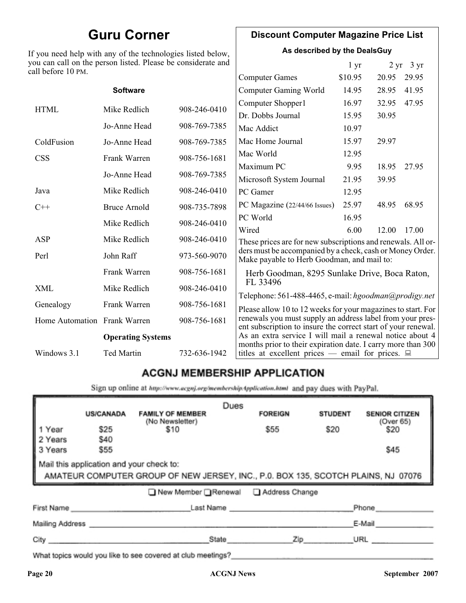## **Guru Corner**

If you need help with any of the technologies listed below, you can call on the person listed. Please be considerate and ca

### **Discount Computer Magazine Price List**

**As described by the DealsGuy**

 $1 \text{ yr}$   $2 \text{ yr}$   $3 \text{ yr}$ 

| ll before 10 PM.             |                          |              |                                                                                                                                                                                            |         |       |       |
|------------------------------|--------------------------|--------------|--------------------------------------------------------------------------------------------------------------------------------------------------------------------------------------------|---------|-------|-------|
|                              |                          |              | <b>Computer Games</b>                                                                                                                                                                      | \$10.95 | 20.95 | 29.95 |
|                              | <b>Software</b>          |              | <b>Computer Gaming World</b>                                                                                                                                                               | 14.95   | 28.95 | 41.95 |
| <b>HTML</b>                  | Mike Redlich             | 908-246-0410 | Computer Shopper1                                                                                                                                                                          | 16.97   | 32.95 | 47.95 |
|                              |                          |              | Dr. Dobbs Journal                                                                                                                                                                          | 15.95   | 30.95 |       |
|                              | Jo-Anne Head             | 908-769-7385 | Mac Addict                                                                                                                                                                                 | 10.97   |       |       |
| ColdFusion                   | Jo-Anne Head             | 908-769-7385 | Mac Home Journal                                                                                                                                                                           | 15.97   | 29.97 |       |
| <b>CSS</b>                   | Frank Warren             | 908-756-1681 | Mac World                                                                                                                                                                                  | 12.95   |       |       |
|                              |                          |              | Maximum PC                                                                                                                                                                                 | 9.95    | 18.95 | 27.95 |
|                              | Jo-Anne Head             | 908-769-7385 | Microsoft System Journal                                                                                                                                                                   | 21.95   | 39.95 |       |
| Java                         | Mike Redlich             | 908-246-0410 | PC Gamer                                                                                                                                                                                   | 12.95   |       |       |
| $C++$                        | <b>Bruce Arnold</b>      | 908-735-7898 | PC Magazine (22/44/66 Issues)                                                                                                                                                              | 25.97   | 48.95 | 68.95 |
|                              | Mike Redlich             | 908-246-0410 | PC World                                                                                                                                                                                   | 16.95   |       |       |
|                              |                          |              | Wired                                                                                                                                                                                      | 6.00    | 12.00 | 17.00 |
| ASP                          | Mike Redlich             | 908-246-0410 | These prices are for new subscriptions and renewals. All or-                                                                                                                               |         |       |       |
| Perl                         | John Raff                | 973-560-9070 | ders must be accompanied by a check, cash or Money Order.<br>Make payable to Herb Goodman, and mail to:                                                                                    |         |       |       |
|                              | Frank Warren             | 908-756-1681 | Herb Goodman, 8295 Sunlake Drive, Boca Raton,                                                                                                                                              |         |       |       |
| XML                          | Mike Redlich             | 908-246-0410 | FL 33496<br>Telephone: 561-488-4465, e-mail: hgoodman@prodigy.net                                                                                                                          |         |       |       |
| Genealogy                    | Frank Warren             | 908-756-1681 |                                                                                                                                                                                            |         |       |       |
| Home Automation Frank Warren |                          | 908-756-1681 | Please allow 10 to 12 weeks for your magazines to start. For<br>renewals you must supply an address label from your pres-<br>ent subscription to insure the correct start of your renewal. |         |       |       |
|                              | <b>Operating Systems</b> |              | As an extra service I will mail a renewal notice about 4                                                                                                                                   |         |       |       |
| Windows 3.1                  | Ted Martin               | 732-636-1942 | months prior to their expiration date. I carry more than 300<br>titles at excellent prices — email for prices. $\Box$                                                                      |         |       |       |
|                              |                          |              |                                                                                                                                                                                            |         |       |       |

### **ACGNJ MEMBERSHIP APPLICATION**

Sign up online at http://www.acgnj.org/membershipApplication.html and pay dues with PayPal.

|                                                                                                                               | <b>US/CANADA</b> | <b>FAMILY OF MEMBER</b>                                                                                                                                                                                                        | Dues  | <b>FOREIGN</b> | <b>STUDENT</b> | <b>SENIOR CITIZEN</b> |
|-------------------------------------------------------------------------------------------------------------------------------|------------------|--------------------------------------------------------------------------------------------------------------------------------------------------------------------------------------------------------------------------------|-------|----------------|----------------|-----------------------|
| 1 Year                                                                                                                        | \$25             | (No Newsletter)<br>\$10                                                                                                                                                                                                        |       | \$55           | \$20           | (Over 65)<br>\$20     |
| 2 Years<br>3 Years                                                                                                            | \$40<br>\$55     |                                                                                                                                                                                                                                |       |                |                | \$45                  |
| Mail this application and your check to:<br>AMATEUR COMPUTER GROUP OF NEW JERSEY, INC., P.0. BOX 135, SCOTCH PLAINS, NJ 07076 |                  |                                                                                                                                                                                                                                |       |                |                |                       |
|                                                                                                                               |                  | ■ New Member Renewal ■ Address Change                                                                                                                                                                                          |       |                |                |                       |
| First Name                                                                                                                    |                  |                                                                                                                                                                                                                                |       | Last Name      |                | Phone                 |
| Mailing Address _                                                                                                             |                  |                                                                                                                                                                                                                                |       |                |                | E-Mail                |
| City <b>Communication</b>                                                                                                     |                  |                                                                                                                                                                                                                                | State | Zip            |                | URL                   |
|                                                                                                                               |                  | 19 and 19 and 19 and 19 and 19 and 19 and 19 and 19 and 19 and 19 and 19 and 19 and 19 and 19 and 19 and 19 and 19 and 19 and 19 and 19 and 19 and 19 and 19 and 19 and 19 and 19 and 19 and 19 and 19 and 19 and 19 and 19 an |       |                |                |                       |

What topics would you like to see covered at club meetings?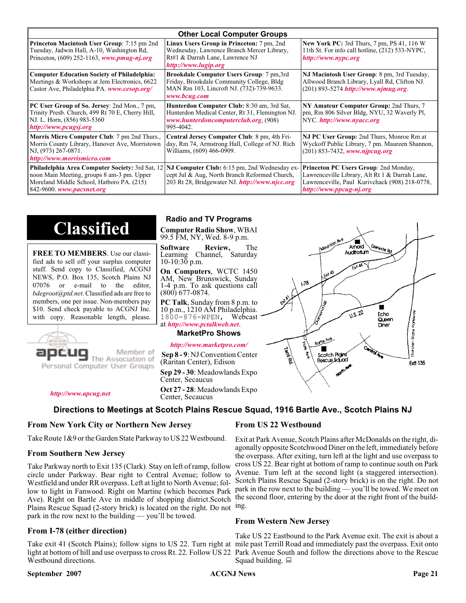| <b>Other Local Computer Groups</b>                                                                                                                                             |                                                                                                                                                           |                                                                                                                                                                      |  |  |
|--------------------------------------------------------------------------------------------------------------------------------------------------------------------------------|-----------------------------------------------------------------------------------------------------------------------------------------------------------|----------------------------------------------------------------------------------------------------------------------------------------------------------------------|--|--|
| <b>Princeton Macintosh User Group:</b> 7:15 pm 2nd<br>Tuesday, Jadwin Hall, A-10, Washington Rd,<br>Princeton, $(609)$ 252-1163, www.pmug-nj.org                               | Linux Users Group in Princeton: 7 pm, 2nd<br>Wednesday, Lawrence Branch Mercer Library,<br>Rt#1 & Darrah Lane, Lawrence NJ<br>http://www.lugip.org        | New York PC: 3rd Thurs, 7 pm, PS 41, 116 W<br>11th St. For info call hotline, (212) 533-NYPC,<br>http://www.nypc.org                                                 |  |  |
| <b>Computer Education Society of Philadelphia:</b><br>Meetings & Workshops at Jem Electronics, 6622<br>Castor Ave, Philadelphia PA. www.cesop.org/                             | <b>Brookdale Computer Users Group:</b> 7 pm, 3rd<br>Friday, Brookdale Community College, Bldg<br>MAN Rm 103, Lincroft NJ. (732)-739-9633.<br>www.bcug.com | NJ Macintosh User Group: 8 pm, 3rd Tuesday,<br>Allwood Branch Library, Lyall Rd, Clifton NJ.<br>$(201)$ 893-5274 http://www.njmug.org.                               |  |  |
| PC User Group of So. Jersey: 2nd Mon., 7 pm,<br>Trinity Presb. Church, 499 Rt 70 E, Cherry Hill,<br>NJ. L. Horn, (856) 983-5360<br>http://www.pcugsj.org                       | Hunterdon Computer Club: 8:30 am, 3rd Sat,<br>Hunterdon Medical Center, Rt 31, Flemington NJ.<br>www.hunterdoncomputerclub.org (908)<br>995-4042.         | NY Amateur Computer Group: 2nd Thurs, 7<br>pm, Rm 806 Silver Bldg, NYU, 32 Waverly Pl,<br>NYC. http://www.nyacc.org                                                  |  |  |
| Morris Micro Computer Club: 7 pm 2nd Thurs.,<br>Morris County Library, Hanover Ave, Morristown<br>NJ, (973) 267-0871.<br>http://www.morrismicro.com                            | Central Jersey Computer Club: 8 pm, 4th Fri-<br>day, Rm 74, Armstrong Hall, College of NJ. Rich<br>Williams, (609) 466-0909.                              | NJ PC User Group: 2nd Thurs, Monroe Rm at<br>Wyckoff Public Library, 7 pm. Maureen Shannon,<br>$(201)$ 853-7432, www.njpcug.org                                      |  |  |
| <b>Philadelphia Area Computer Society: 3rd Sat, 12</b><br>noon Main Meeting, groups 8 am-3 pm. Upper<br>Moreland Middle School, Hatboro PA. (215)<br>842-9600. www.pacsnet.org | NJ Computer Club: 6:15 pm, 2nd Wednesday ex-<br>cept Jul & Aug, North Branch Reformed Church,<br>203 Rt 28, Bridgewater NJ. http://www.njcc.org           | Princeton PC Users Group: 2nd Monday,<br>Lawrenceville Library, Alt Rt 1 & Darrah Lane,<br>Lawrenceville, Paul Kurivchack (908) 218-0778,<br>http://www.ppcug-nj.org |  |  |

# **Classified**

**FREE TO MEMBERS**. Use our classified ads to sell off your surplus computer stuff. Send copy to Classified, ACGNJ NEWS, P.O. Box 135, Scotch Plains NJ 07076 or e-mail to the editor, *bdegroot@ptd.net*. Classified ads are free to members, one per issue. Non-members pay \$10. Send check payable to ACGNJ Inc. with copy. Reasonable length, please.



#### Member of The Association of

Personal Computer User Groups

*<http://www.apcug.net>*

#### **Radio and TV Programs**

**Computer Radio Show**, WBAI 99.5 FM, NY, Wed. 8-9 p.m.

**Software Review,** The Learning Channel, Saturday 10-10:30 p.m.

**On Computers**, WCTC 1450 AM, New Brunswick, Sunday 1-4 p.m. To ask questions call (800) 677-0874.

**PC Talk**, Sunday from 8 p.m. to 10 p.m., 1210 AM Philadelphia. 1800-876-WPEN, Webcast at *<http://www.pctalkweb.net>*.

#### **MarketPro Shows**

#### *<http://www.marketpro.com/>*

**Sep 8 - 9**: NJ Convention Center (Raritan Center), Edison

**Sep 29 - 30**: Meadowlands Expo Center, Secaucus

**Oct 27 - 28**: Meadowlands Expo Center, Secaucus

#### **Directions to Meetings at Scotch Plains Rescue Squad, 1916 Bartle Ave., Scotch Plains NJ**

#### **From New York City or Northern New Jersey**

Take Route 1&9 or the Garden State Parkway to US 22 Westbound.

#### **From Southern New Jersey**

Take Parkway north to Exit 135 (Clark). Stay on left of ramp, follow circle under Parkway. Bear right to Central Avenue; follow to Westfield and under RR overpass. Left at light to North Avenue; follow to light in Fanwood. Right on Martine (which becomes Park Ave). Right on Bartle Ave in middle of shopping district.Scotch Plains Rescue Squad (2-story brick) is located on the right. Do not ing. park in the row next to the building — you'll be towed.

#### **From I-78 (either direction)**

Take exit 41 (Scotch Plains); follow signs to US 22. Turn right at mile past Terrill Road and immediately past the overpass. Exit onto light at bottom of hill and use overpass to cross Rt. 22. Follow US 22 Park Avenue South and follow the directions above to the Rescue Westbound directions.

#### **September 2007 ACGNJ News Page 21**

#### **From US 22 Westbound**

Exit at Park Avenue, Scotch Plains after McDonalds on the right, diagonally opposite Scotchwood Diner on the left, immediately before the overpass. After exiting, turn left at the light and use overpass to cross US 22. Bear right at bottom of ramp to continue south on Park Avenue. Turn left at the second light (a staggered intersection). Scotch Plains Rescue Squad (2-story brick) is on the right. Do not park in the row next to the building — you'll be towed. We meet on the second floor, entering by the door at the right front of the build-

#### **From Western New Jersey**

Take US 22 Eastbound to the Park Avenue exit. The exit is about a Squad building.  $\Box$